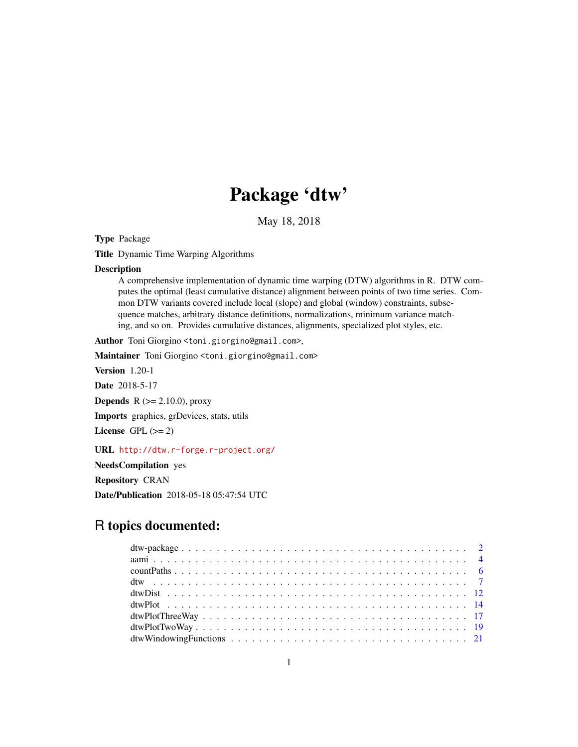# Package 'dtw'

May 18, 2018

<span id="page-0-0"></span>Type Package

Title Dynamic Time Warping Algorithms

# Description

A comprehensive implementation of dynamic time warping (DTW) algorithms in R. DTW computes the optimal (least cumulative distance) alignment between points of two time series. Common DTW variants covered include local (slope) and global (window) constraints, subsequence matches, arbitrary distance definitions, normalizations, minimum variance matching, and so on. Provides cumulative distances, alignments, specialized plot styles, etc.

Author Toni Giorgino <toni.giorgino@gmail.com>,

Maintainer Toni Giorgino <toni.giorgino@gmail.com>

Version 1.20-1

Date 2018-5-17

**Depends**  $R$  ( $>= 2.10.0$ ), proxy

Imports graphics, grDevices, stats, utils

License GPL  $(>= 2)$ 

# URL <http://dtw.r-forge.r-project.org/>

NeedsCompilation yes

Repository CRAN

Date/Publication 2018-05-18 05:47:54 UTC

# R topics documented: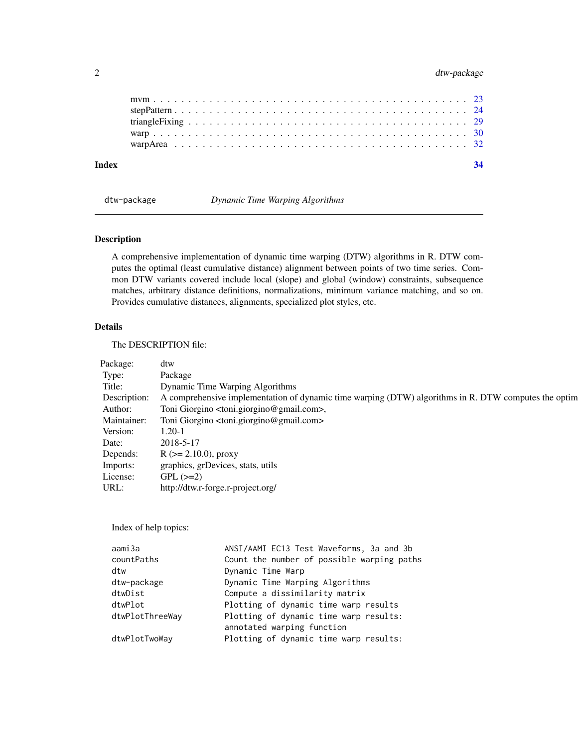# <span id="page-1-0"></span>2 dtw-package

| Index |  |  |  |  |  |  |  |  |  |  |  |  |  |  |  |  |  |  |  |  |
|-------|--|--|--|--|--|--|--|--|--|--|--|--|--|--|--|--|--|--|--|--|
|       |  |  |  |  |  |  |  |  |  |  |  |  |  |  |  |  |  |  |  |  |
|       |  |  |  |  |  |  |  |  |  |  |  |  |  |  |  |  |  |  |  |  |
|       |  |  |  |  |  |  |  |  |  |  |  |  |  |  |  |  |  |  |  |  |
|       |  |  |  |  |  |  |  |  |  |  |  |  |  |  |  |  |  |  |  |  |

dtw-package *Dynamic Time Warping Algorithms*

# Description

A comprehensive implementation of dynamic time warping (DTW) algorithms in R. DTW computes the optimal (least cumulative distance) alignment between points of two time series. Common DTW variants covered include local (slope) and global (window) constraints, subsequence matches, arbitrary distance definitions, normalizations, minimum variance matching, and so on. Provides cumulative distances, alignments, specialized plot styles, etc.

# Details

The DESCRIPTION file:

| Package: | dtw                                                                                                               |
|----------|-------------------------------------------------------------------------------------------------------------------|
| Type:    | Package                                                                                                           |
| Title:   | Dynamic Time Warping Algorithms                                                                                   |
|          | Description: A comprehensive implementation of dynamic time warping (DTW) algorithms in R. DTW computes the optim |
| Author:  | Toni Giorgino <toni.giorgino@gmail.com>,</toni.giorgino@gmail.com>                                                |
|          | Maintainer: Toni Giorgino <toni.giorgino@gmail.com></toni.giorgino@gmail.com>                                     |
| Version: | $1.20 - 1$                                                                                                        |
| Date:    | 2018-5-17                                                                                                         |
| Depends: | $R$ ( $>= 2.10.0$ ), proxy                                                                                        |
| Imports: | graphics, grDevices, stats, utils                                                                                 |
| License: | $GPL$ ( $>=2$ )                                                                                                   |
| URL:     | http://dtw.r-forge.r-project.org/                                                                                 |

Index of help topics:

| ANSI/AAMI EC13 Test Waveforms, 3a and 3b   |
|--------------------------------------------|
| Count the number of possible warping paths |
| Dynamic Time Warp                          |
| Dynamic Time Warping Algorithms            |
| Compute a dissimilarity matrix             |
| Plotting of dynamic time warp results      |
| Plotting of dynamic time warp results:     |
| annotated warping function                 |
| Plotting of dynamic time warp results:     |
|                                            |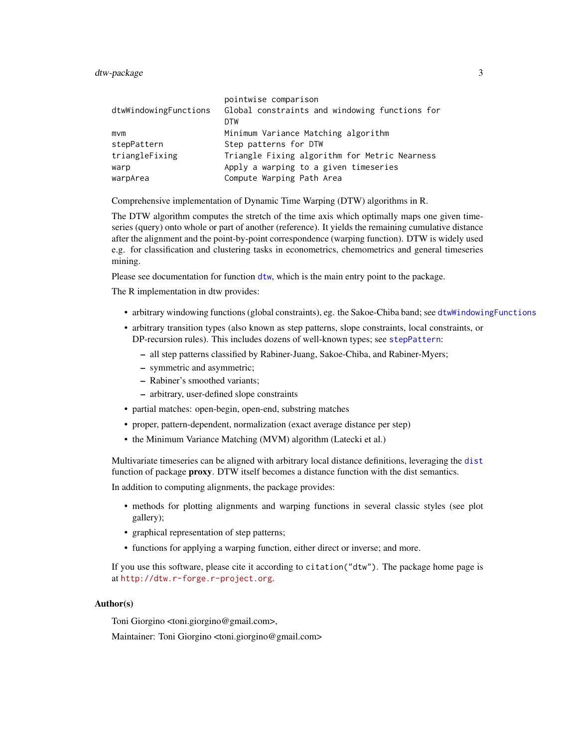# <span id="page-2-0"></span>dtw-package 3

|                       | pointwise comparison                           |
|-----------------------|------------------------------------------------|
| dtwWindowingFunctions | Global constraints and windowing functions for |
|                       | <b>DTW</b>                                     |
| mvm                   | Minimum Variance Matching algorithm            |
| stepPattern           | Step patterns for DTW                          |
| triangleFixing        | Triangle Fixing algorithm for Metric Nearness  |
| warp                  | Apply a warping to a given timeseries          |
| warpArea              | Compute Warping Path Area                      |
|                       |                                                |

Comprehensive implementation of Dynamic Time Warping (DTW) algorithms in R.

The DTW algorithm computes the stretch of the time axis which optimally maps one given timeseries (query) onto whole or part of another (reference). It yields the remaining cumulative distance after the alignment and the point-by-point correspondence (warping function). DTW is widely used e.g. for classification and clustering tasks in econometrics, chemometrics and general timeseries mining.

Please see documentation for function [dtw](#page-6-1), which is the main entry point to the package.

The R implementation in dtw provides:

- arbitrary windowing functions (global constraints), eg. the Sakoe-Chiba band; see [dtwWindowingFunctions](#page-20-1)
- arbitrary transition types (also known as step patterns, slope constraints, local constraints, or DP-recursion rules). This includes dozens of well-known types; see [stepPattern](#page-23-1):
	- all step patterns classified by Rabiner-Juang, Sakoe-Chiba, and Rabiner-Myers;
	- symmetric and asymmetric;
	- Rabiner's smoothed variants;
	- arbitrary, user-defined slope constraints
- partial matches: open-begin, open-end, substring matches
- proper, pattern-dependent, normalization (exact average distance per step)
- the Minimum Variance Matching (MVM) algorithm (Latecki et al.)

Multivariate timeseries can be aligned with arbitrary local distance definitions, leveraging the [dist](#page-0-0) function of package **proxy**. DTW itself becomes a distance function with the dist semantics.

In addition to computing alignments, the package provides:

- methods for plotting alignments and warping functions in several classic styles (see plot gallery);
- graphical representation of step patterns;
- functions for applying a warping function, either direct or inverse; and more.

If you use this software, please cite it according to citation("dtw"). The package home page is at <http://dtw.r-forge.r-project.org>.

#### Author(s)

Toni Giorgino <toni.giorgino@gmail.com>,

Maintainer: Toni Giorgino <toni.giorgino@gmail.com>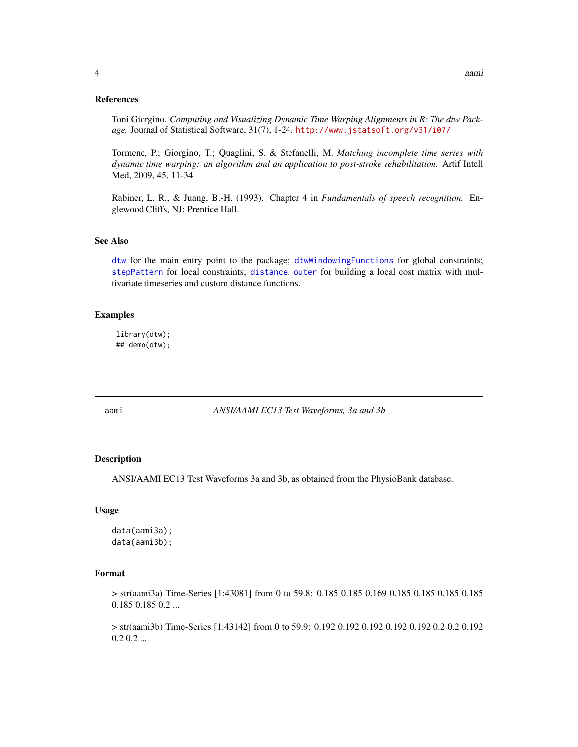<span id="page-3-0"></span>Toni Giorgino. *Computing and Visualizing Dynamic Time Warping Alignments in R: The dtw Package.* Journal of Statistical Software, 31(7), 1-24. <http://www.jstatsoft.org/v31/i07/>

Tormene, P.; Giorgino, T.; Quaglini, S. & Stefanelli, M. *Matching incomplete time series with dynamic time warping: an algorithm and an application to post-stroke rehabilitation.* Artif Intell Med, 2009, 45, 11-34

Rabiner, L. R., & Juang, B.-H. (1993). Chapter 4 in *Fundamentals of speech recognition.* Englewood Cliffs, NJ: Prentice Hall.

#### See Also

[dtw](#page-6-1) for the main entry point to the package; [dtwWindowingFunctions](#page-20-1) for global constraints; [stepPattern](#page-23-1) for local constraints; [distance](#page-0-0), [outer](#page-0-0) for building a local cost matrix with multivariate timeseries and custom distance functions.

#### Examples

library(dtw); ## demo(dtw);

aami *ANSI/AAMI EC13 Test Waveforms, 3a and 3b*

#### Description

ANSI/AAMI EC13 Test Waveforms 3a and 3b, as obtained from the PhysioBank database.

#### Usage

```
data(aami3a);
data(aami3b);
```
# Format

> str(aami3a) Time-Series [1:43081] from 0 to 59.8: 0.185 0.185 0.169 0.185 0.185 0.185 0.185 0.185 0.185 0.2 ...

> str(aami3b) Time-Series [1:43142] from 0 to 59.9: 0.192 0.192 0.192 0.192 0.192 0.2 0.2 0.192  $0.2 0.2 ...$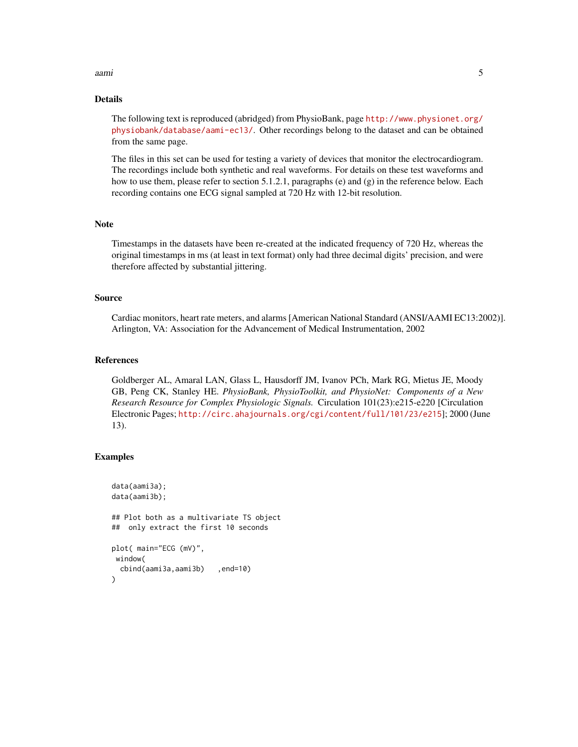#### aami 50 metatra. Sida keessatti 1970 metatra. Sida keessatti 1970 metatra. Sida keessatti 1970 metatra. Sida k

#### Details

The following text is reproduced (abridged) from PhysioBank, page [http://www.physionet.org/](http://www.physionet.org/physiobank/database/aami-ec13/) [physiobank/database/aami-ec13/](http://www.physionet.org/physiobank/database/aami-ec13/). Other recordings belong to the dataset and can be obtained from the same page.

The files in this set can be used for testing a variety of devices that monitor the electrocardiogram. The recordings include both synthetic and real waveforms. For details on these test waveforms and how to use them, please refer to section 5.1.2.1, paragraphs (e) and (g) in the reference below. Each recording contains one ECG signal sampled at 720 Hz with 12-bit resolution.

#### Note

Timestamps in the datasets have been re-created at the indicated frequency of 720 Hz, whereas the original timestamps in ms (at least in text format) only had three decimal digits' precision, and were therefore affected by substantial jittering.

#### Source

Cardiac monitors, heart rate meters, and alarms [American National Standard (ANSI/AAMI EC13:2002)]. Arlington, VA: Association for the Advancement of Medical Instrumentation, 2002

#### References

Goldberger AL, Amaral LAN, Glass L, Hausdorff JM, Ivanov PCh, Mark RG, Mietus JE, Moody GB, Peng CK, Stanley HE. *PhysioBank, PhysioToolkit, and PhysioNet: Components of a New Research Resource for Complex Physiologic Signals.* Circulation 101(23):e215-e220 [Circulation Electronic Pages; <http://circ.ahajournals.org/cgi/content/full/101/23/e215>]; 2000 (June 13).

#### Examples

```
data(aami3a);
data(aami3b);
## Plot both as a multivariate TS object
## only extract the first 10 seconds
plot( main="ECG (mV)",
window(
 cbind(aami3a,aami3b) ,end=10)
)
```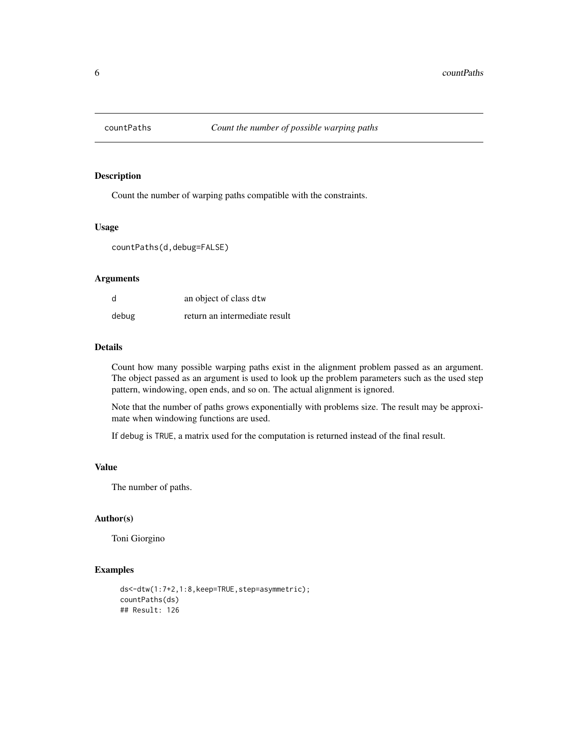<span id="page-5-0"></span>

# Description

Count the number of warping paths compatible with the constraints.

#### Usage

countPaths(d,debug=FALSE)

#### Arguments

| d     | an object of class dtw        |
|-------|-------------------------------|
| debug | return an intermediate result |

# Details

Count how many possible warping paths exist in the alignment problem passed as an argument. The object passed as an argument is used to look up the problem parameters such as the used step pattern, windowing, open ends, and so on. The actual alignment is ignored.

Note that the number of paths grows exponentially with problems size. The result may be approximate when windowing functions are used.

If debug is TRUE, a matrix used for the computation is returned instead of the final result.

#### Value

The number of paths.

## Author(s)

Toni Giorgino

#### Examples

```
ds<-dtw(1:7+2,1:8,keep=TRUE,step=asymmetric);
countPaths(ds)
## Result: 126
```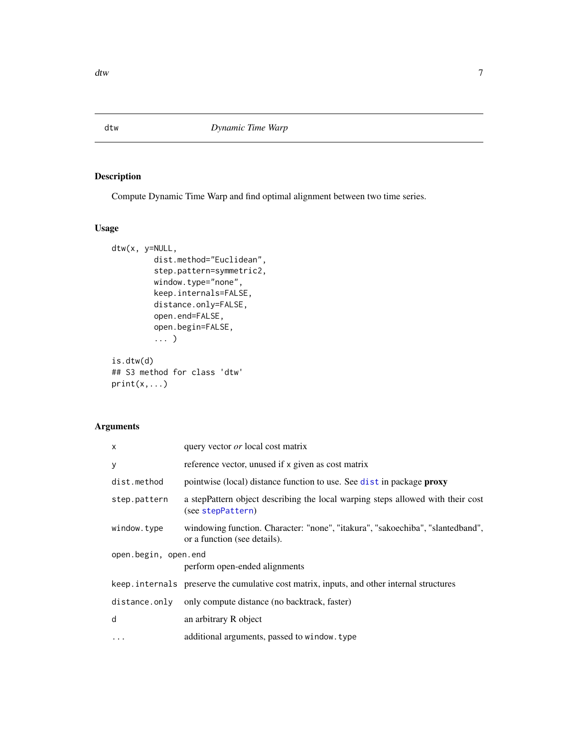# Description

Compute Dynamic Time Warp and find optimal alignment between two time series.

# Usage

```
dtw(x, y=NULL,
         dist.method="Euclidean",
         step.pattern=symmetric2,
         window.type="none",
         keep.internals=FALSE,
         distance.only=FALSE,
         open.end=FALSE,
         open.begin=FALSE,
         ... )
is.dtw(d)
## S3 method for class 'dtw'
print(x,...)
```
# Arguments

| $\mathsf{x}$                                          | query vector <i>or</i> local cost matrix                                                                       |  |  |  |  |
|-------------------------------------------------------|----------------------------------------------------------------------------------------------------------------|--|--|--|--|
| y                                                     | reference vector, unused if x given as cost matrix                                                             |  |  |  |  |
| dist.method                                           | pointwise (local) distance function to use. See dist in package proxy                                          |  |  |  |  |
| step.pattern                                          | a stepPattern object describing the local warping steps allowed with their cost<br>(see stepPattern)           |  |  |  |  |
| window.type                                           | windowing function. Character: "none", "itakura", "sakoechiba", "slantedband",<br>or a function (see details). |  |  |  |  |
| open.begin, open.end<br>perform open-ended alignments |                                                                                                                |  |  |  |  |
|                                                       | keep.internals preserve the cumulative cost matrix, inputs, and other internal structures                      |  |  |  |  |
| distance.only                                         | only compute distance (no backtrack, faster)                                                                   |  |  |  |  |
| d                                                     | an arbitrary R object                                                                                          |  |  |  |  |
| $\ddotsc$                                             | additional arguments, passed to window. type                                                                   |  |  |  |  |

<span id="page-6-1"></span><span id="page-6-0"></span>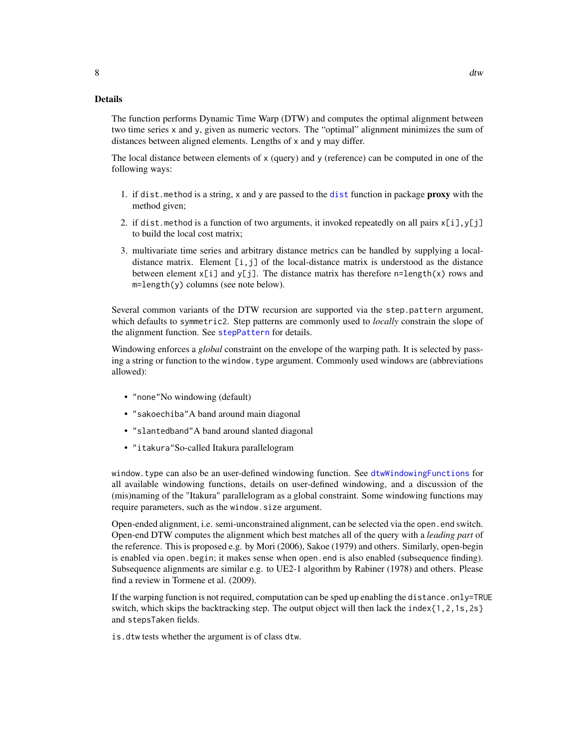#### <span id="page-7-0"></span>Details

The function performs Dynamic Time Warp (DTW) and computes the optimal alignment between two time series x and y, given as numeric vectors. The "optimal" alignment minimizes the sum of distances between aligned elements. Lengths of x and y may differ.

The local distance between elements of x (query) and y (reference) can be computed in one of the following ways:

- 1. if [dist](#page-0-0).method is a string, x and y are passed to the dist function in package **proxy** with the method given;
- 2. if dist.method is a function of two arguments, it invoked repeatedly on all pairs  $x[i], y[j]$ to build the local cost matrix;
- 3. multivariate time series and arbitrary distance metrics can be handled by supplying a localdistance matrix. Element  $[i, j]$  of the local-distance matrix is understood as the distance between element  $x[i]$  and  $y[j]$ . The distance matrix has therefore n=length(x) rows and m=length(y) columns (see note below).

Several common variants of the DTW recursion are supported via the step.pattern argument, which defaults to symmetric2. Step patterns are commonly used to *locally* constrain the slope of the alignment function. See [stepPattern](#page-23-1) for details.

Windowing enforces a *global* constraint on the envelope of the warping path. It is selected by passing a string or function to the window.type argument. Commonly used windows are (abbreviations allowed):

- "none" No windowing (default)
- "sakoechiba"A band around main diagonal
- "slantedband"A band around slanted diagonal
- "itakura"So-called Itakura parallelogram

window.type can also be an user-defined windowing function. See [dtwWindowingFunctions](#page-20-1) for all available windowing functions, details on user-defined windowing, and a discussion of the (mis)naming of the "Itakura" parallelogram as a global constraint. Some windowing functions may require parameters, such as the window.size argument.

Open-ended alignment, i.e. semi-unconstrained alignment, can be selected via the open.end switch. Open-end DTW computes the alignment which best matches all of the query with a *leading part* of the reference. This is proposed e.g. by Mori (2006), Sakoe (1979) and others. Similarly, open-begin is enabled via open. begin; it makes sense when open. end is also enabled (subsequence finding). Subsequence alignments are similar e.g. to UE2-1 algorithm by Rabiner (1978) and others. Please find a review in Tormene et al. (2009).

If the warping function is not required, computation can be sped up enabling the distance.only=TRUE switch, which skips the backtracking step. The output object will then lack the index $\{1, 2, 1s, 2s\}$ and stepsTaken fields.

is.dtw tests whether the argument is of class dtw.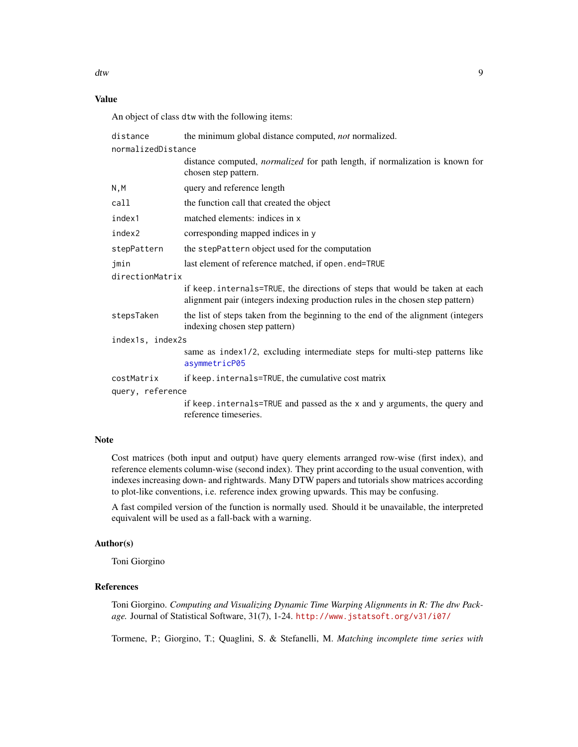```
dtw
```
# Value

An object of class dtw with the following items:

| distance                                                      | the minimum global distance computed, not normalized.                                                                                                          |  |  |  |  |
|---------------------------------------------------------------|----------------------------------------------------------------------------------------------------------------------------------------------------------------|--|--|--|--|
| normalizedDistance                                            |                                                                                                                                                                |  |  |  |  |
|                                                               | distance computed, <i>normalized</i> for path length, if normalization is known for<br>chosen step pattern.                                                    |  |  |  |  |
| N,M                                                           | query and reference length                                                                                                                                     |  |  |  |  |
| call                                                          | the function call that created the object                                                                                                                      |  |  |  |  |
| index1                                                        | matched elements: indices in x                                                                                                                                 |  |  |  |  |
| index2                                                        | corresponding mapped indices in y                                                                                                                              |  |  |  |  |
| stepPattern                                                   | the stepPattern object used for the computation                                                                                                                |  |  |  |  |
| last element of reference matched, if open . end=TRUE<br>jmin |                                                                                                                                                                |  |  |  |  |
| directionMatrix                                               |                                                                                                                                                                |  |  |  |  |
|                                                               | if keep. internals=TRUE, the directions of steps that would be taken at each<br>alignment pair (integers indexing production rules in the chosen step pattern) |  |  |  |  |
| stepsTaken                                                    | the list of steps taken from the beginning to the end of the alignment (integers<br>indexing chosen step pattern)                                              |  |  |  |  |
| index1s, index2s                                              |                                                                                                                                                                |  |  |  |  |
|                                                               | same as index1/2, excluding intermediate steps for multi-step patterns like<br>asymmetricP05                                                                   |  |  |  |  |
| costMatrix                                                    | if keep. internals=TRUE, the cumulative cost matrix                                                                                                            |  |  |  |  |
| query, reference                                              |                                                                                                                                                                |  |  |  |  |
|                                                               | if keep. internals=TRUE and passed as the x and y arguments, the query and<br>reference timeseries.                                                            |  |  |  |  |

#### Note

Cost matrices (both input and output) have query elements arranged row-wise (first index), and reference elements column-wise (second index). They print according to the usual convention, with indexes increasing down- and rightwards. Many DTW papers and tutorials show matrices according to plot-like conventions, i.e. reference index growing upwards. This may be confusing.

A fast compiled version of the function is normally used. Should it be unavailable, the interpreted equivalent will be used as a fall-back with a warning.

# Author(s)

Toni Giorgino

# References

Toni Giorgino. *Computing and Visualizing Dynamic Time Warping Alignments in R: The dtw Package.* Journal of Statistical Software, 31(7), 1-24. <http://www.jstatsoft.org/v31/i07/>

Tormene, P.; Giorgino, T.; Quaglini, S. & Stefanelli, M. *Matching incomplete time series with*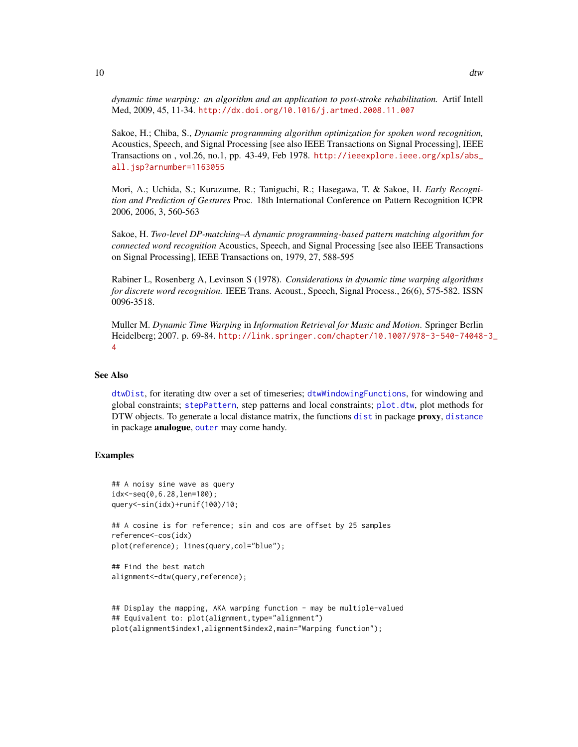*dynamic time warping: an algorithm and an application to post-stroke rehabilitation.* Artif Intell Med, 2009, 45, 11-34. <http://dx.doi.org/10.1016/j.artmed.2008.11.007>

Sakoe, H.; Chiba, S., *Dynamic programming algorithm optimization for spoken word recognition,* Acoustics, Speech, and Signal Processing [see also IEEE Transactions on Signal Processing], IEEE Transactions on , vol.26, no.1, pp. 43-49, Feb 1978. [http://ieeexplore.ieee.org/xpls/abs\\_](http://ieeexplore.ieee.org/xpls/abs_all.jsp?arnumber=1163055) [all.jsp?arnumber=1163055](http://ieeexplore.ieee.org/xpls/abs_all.jsp?arnumber=1163055)

Mori, A.; Uchida, S.; Kurazume, R.; Taniguchi, R.; Hasegawa, T. & Sakoe, H. *Early Recognition and Prediction of Gestures* Proc. 18th International Conference on Pattern Recognition ICPR 2006, 2006, 3, 560-563

Sakoe, H. *Two-level DP-matching–A dynamic programming-based pattern matching algorithm for connected word recognition* Acoustics, Speech, and Signal Processing [see also IEEE Transactions on Signal Processing], IEEE Transactions on, 1979, 27, 588-595

Rabiner L, Rosenberg A, Levinson S (1978). *Considerations in dynamic time warping algorithms for discrete word recognition.* IEEE Trans. Acoust., Speech, Signal Process., 26(6), 575-582. ISSN 0096-3518.

Muller M. *Dynamic Time Warping* in *Information Retrieval for Music and Motion*. Springer Berlin Heidelberg; 2007. p. 69-84. [http://link.springer.com/chapter/10.1007/978-3-540-74048-](http://link.springer.com/chapter/10.1007/978-3-540-74048-3_4)3\_ [4](http://link.springer.com/chapter/10.1007/978-3-540-74048-3_4)

#### See Also

[dtwDist](#page-11-1), for iterating dtw over a set of timeseries; [dtwWindowingFunctions](#page-20-1), for windowing and global constraints; [stepPattern](#page-23-1), step patterns and local constraints; [plot.dtw](#page-13-1), plot methods for DTW objects. To generate a local [dist](#page-0-0)ance matrix, the functions dist in package **proxy**, [distance](#page-0-0) in package **analogue**, [outer](#page-0-0) may come handy.

#### Examples

```
## A noisy sine wave as query
idx<-seq(0,6.28,len=100);
query<-sin(idx)+runif(100)/10;
## A cosine is for reference; sin and cos are offset by 25 samples
reference<-cos(idx)
plot(reference); lines(query,col="blue");
## Find the best match
alignment<-dtw(query,reference);
```

```
## Display the mapping, AKA warping function - may be multiple-valued
## Equivalent to: plot(alignment, type="alignment")
plot(alignment$index1,alignment$index2,main="Warping function");
```
<span id="page-9-0"></span>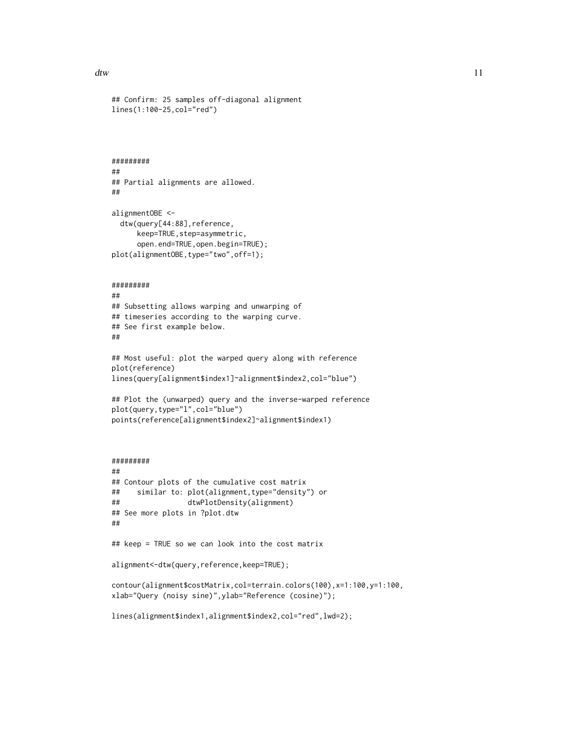##

##

##

##

##

##

```
## Confirm: 25 samples off-diagonal alignment
lines(1:100-25,col="red")
#########
## Partial alignments are allowed.
alignmentOBE <-
 dtw(query[44:88],reference,
     keep=TRUE,step=asymmetric,
      open.end=TRUE,open.begin=TRUE);
plot(alignmentOBE,type="two",off=1);
#########
## Subsetting allows warping and unwarping of
## timeseries according to the warping curve.
## See first example below.
## Most useful: plot the warped query along with reference
plot(reference)
lines(query[alignment$index1]~alignment$index2,col="blue")
## Plot the (unwarped) query and the inverse-warped reference
plot(query,type="l",col="blue")
points(reference[alignment$index2]~alignment$index1)
#########
## Contour plots of the cumulative cost matrix
## similar to: plot(alignment,type="density") or
## dtwPlotDensity(alignment)
## See more plots in ?plot.dtw
## keep = TRUE so we can look into the cost matrix
```
alignment<-dtw(query,reference,keep=TRUE);

```
contour(alignment$costMatrix,col=terrain.colors(100),x=1:100,y=1:100,
xlab="Query (noisy sine)",ylab="Reference (cosine)");
```
lines(alignment\$index1,alignment\$index2,col="red",lwd=2);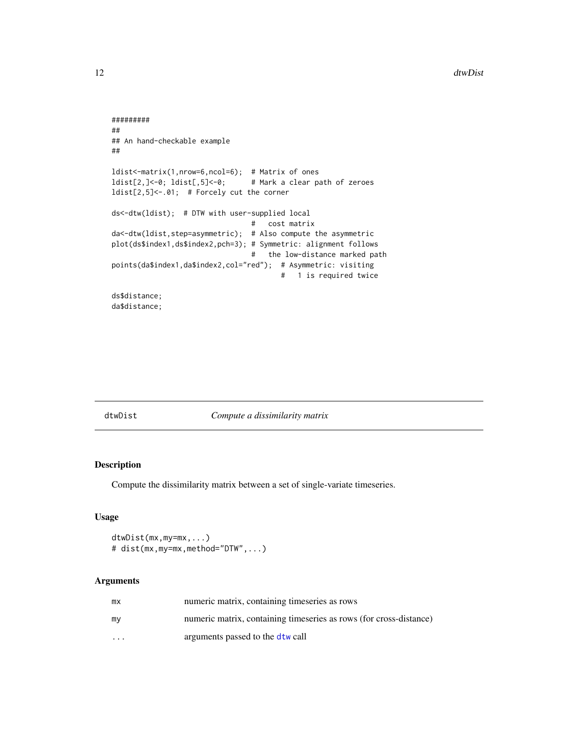```
#########
##
## An hand-checkable example
##
ldist<-matrix(1,nrow=6,ncol=6); # Matrix of ones
ldist[2,]<-0; ldist[,5]<-0; # Mark a clear path of zeroes
ldist[2,5]<-.01; # Forcely cut the corner
ds<-dtw(ldist); # DTW with user-supplied local
                                # cost matrix
da<-dtw(ldist,step=asymmetric); # Also compute the asymmetric
plot(ds$index1,ds$index2,pch=3); # Symmetric: alignment follows
                                # the low-distance marked path
points(da$index1,da$index2,col="red"); # Asymmetric: visiting
                                       # 1 is required twice
ds$distance;
da$distance;
```
#### <span id="page-11-1"></span>dtwDist *Compute a dissimilarity matrix*

# Description

Compute the dissimilarity matrix between a set of single-variate timeseries.

#### Usage

```
dtwDist(mx,my=mx,...)
# dist(mx,my=mx,method="DTW",...)
```
# Arguments

| mx                      | numeric matrix, containing timeseries as rows                      |
|-------------------------|--------------------------------------------------------------------|
| my                      | numeric matrix, containing timeseries as rows (for cross-distance) |
| $\cdot$ $\cdot$ $\cdot$ | arguments passed to the dtw call                                   |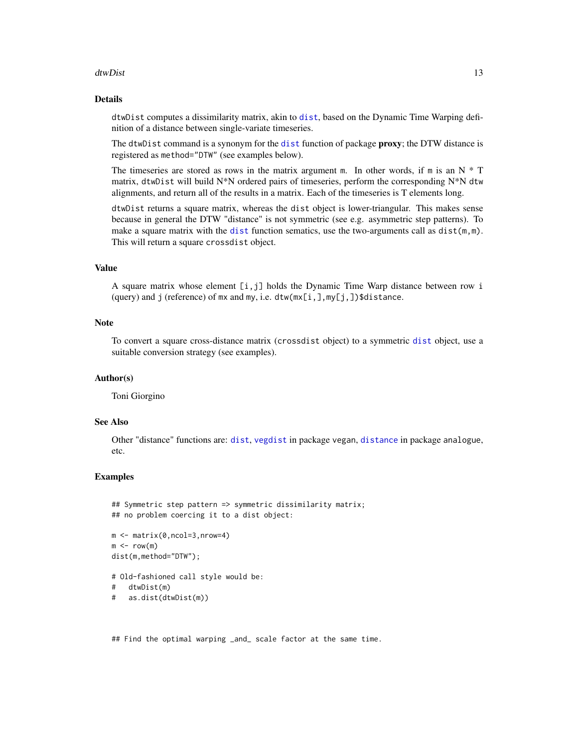#### <span id="page-12-0"></span>dtwDist 13

#### Details

dtwDist computes a dissimilarity matrix, akin to [dist](#page-0-0), based on the Dynamic Time Warping definition of a distance between single-variate timeseries.

The dtwDist command is a synonym for the [dist](#page-0-0) function of package proxy; the DTW distance is registered as method="DTW" (see examples below).

The timeseries are stored as rows in the matrix argument m. In other words, if m is an  $N * T$ matrix, dtwDist will build N\*N ordered pairs of timeseries, perform the corresponding N\*N dtw alignments, and return all of the results in a matrix. Each of the timeseries is T elements long.

dtwDist returns a square matrix, whereas the dist object is lower-triangular. This makes sense because in general the DTW "distance" is not symmetric (see e.g. asymmetric step patterns). To make a square matrix with the [dist](#page-0-0) function sematics, use the two-arguments call as  $dist(m, m)$ . This will return a square crossdist object.

# Value

A square matrix whose element [i,j] holds the Dynamic Time Warp distance between row i (query) and j (reference) of mx and my, i.e. dtw(mx[i,],my[j,])\$distance.

#### Note

To convert a square cross-distance matrix (crossdist object) to a symmetric [dist](#page-0-0) object, use a suitable conversion strategy (see examples).

#### Author(s)

Toni Giorgino

#### See Also

Other "distance" functions are: [dist](#page-0-0), [vegdist](#page-0-0) in package vegan, [distance](#page-0-0) in package analogue, etc.

# Examples

```
## Symmetric step pattern => symmetric dissimilarity matrix;
## no problem coercing it to a dist object:
```

```
m \le - matrix(0,ncol=3,nrow=4)
m \le -\text{row}(m)dist(m,method="DTW");
```

```
# Old-fashioned call style would be:
```

```
# dtwDist(m)
```

```
# as.dist(dtwDist(m))
```
## Find the optimal warping \_and\_ scale factor at the same time.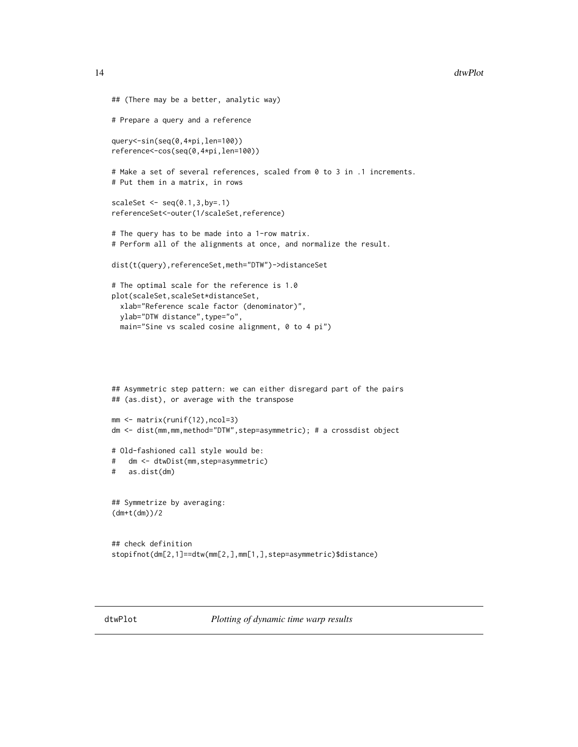```
## (There may be a better, analytic way)
# Prepare a query and a reference
query<-sin(seq(0,4*pi,len=100))
reference<-cos(seq(0,4*pi,len=100))
# Make a set of several references, scaled from 0 to 3 in .1 increments.
# Put them in a matrix, in rows
scaleSet \leq seq(0.1,3,by=.1)
referenceSet<-outer(1/scaleSet,reference)
# The query has to be made into a 1-row matrix.
# Perform all of the alignments at once, and normalize the result.
dist(t(query),referenceSet,meth="DTW")->distanceSet
# The optimal scale for the reference is 1.0
plot(scaleSet,scaleSet*distanceSet,
  xlab="Reference scale factor (denominator)",
  ylab="DTW distance",type="o",
  main="Sine vs scaled cosine alignment, 0 to 4 pi")
## Asymmetric step pattern: we can either disregard part of the pairs
## (as.dist), or average with the transpose
mm <- matrix(runif(12),ncol=3)
dm <- dist(mm,mm,method="DTW",step=asymmetric); # a crossdist object
# Old-fashioned call style would be:
# dm <- dtwDist(mm,step=asymmetric)
# as.dist(dm)
## Symmetrize by averaging:
(dm+t(dm))/2
## check definition
stopifnot(dm[2,1]==dtw(mm[2,],mm[1,],step=asymmetric)$distance)
```
<span id="page-13-1"></span>

<span id="page-13-2"></span>dtwPlot *Plotting of dynamic time warp results*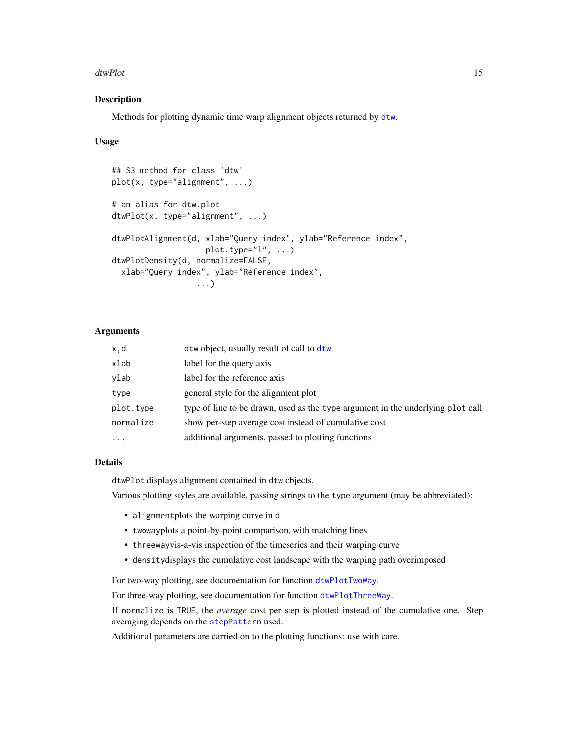#### <span id="page-14-0"></span>dtwPlot 15

### Description

Methods for plotting dynamic time warp alignment objects returned by [dtw](#page-6-1).

#### Usage

```
## S3 method for class 'dtw'
plot(x, type="alignment", ...)
# an alias for dtw.plot
dtwPlot(x, type="alignment", ...)
dtwPlotAlignment(d, xlab="Query index", ylab="Reference index",
                    plot.type="1", \ldots)dtwPlotDensity(d, normalize=FALSE,
  xlab="Query index", ylab="Reference index",
                  ...)
```
# Arguments

| x,d       | dtw object, usually result of call to dtw                                       |
|-----------|---------------------------------------------------------------------------------|
| xlab      | label for the query axis                                                        |
| ylab      | label for the reference axis                                                    |
| type      | general style for the alignment plot                                            |
| plot.type | type of line to be drawn, used as the type argument in the underlying plot call |
| normalize | show per-step average cost instead of cumulative cost                           |
| $\cdot$   | additional arguments, passed to plotting functions                              |

# Details

dtwPlot displays alignment contained in dtw objects.

Various plotting styles are available, passing strings to the type argument (may be abbreviated):

- alignmentplots the warping curve in d
- twowayplots a point-by-point comparison, with matching lines
- threewayvis-a-vis inspection of the timeseries and their warping curve
- densitydisplays the cumulative cost landscape with the warping path overimposed

For two-way plotting, see documentation for function [dtwPlotTwoWay](#page-18-1).

For three-way plotting, see documentation for function [dtwPlotThreeWay](#page-16-1).

If normalize is TRUE, the *average* cost per step is plotted instead of the cumulative one. Step averaging depends on the [stepPattern](#page-23-1) used.

Additional parameters are carried on to the plotting functions: use with care.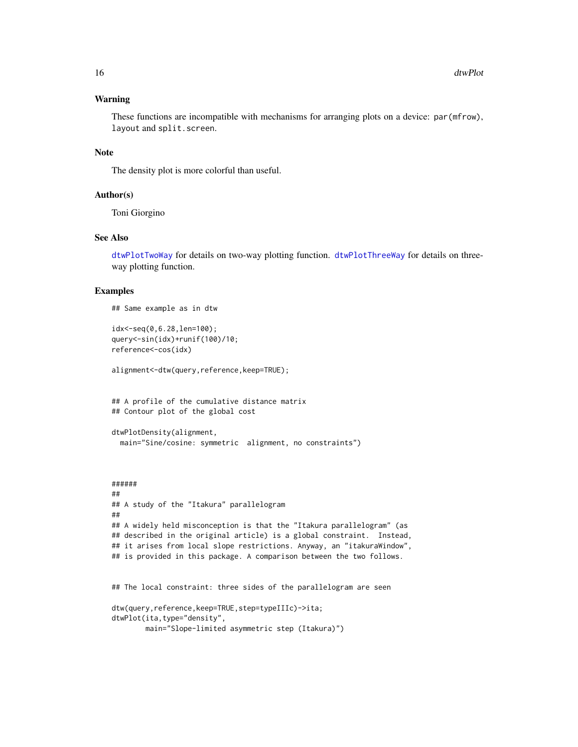#### <span id="page-15-0"></span>Warning

These functions are incompatible with mechanisms for arranging plots on a device: par(mfrow), layout and split.screen.

#### **Note**

The density plot is more colorful than useful.

#### Author(s)

Toni Giorgino

#### See Also

[dtwPlotTwoWay](#page-18-1) for details on two-way plotting function. [dtwPlotThreeWay](#page-16-1) for details on threeway plotting function.

#### Examples

## Same example as in dtw

```
idx<-seq(0,6.28,len=100);
query<-sin(idx)+runif(100)/10;
reference<-cos(idx)
```
alignment<-dtw(query,reference,keep=TRUE);

```
## A profile of the cumulative distance matrix
## Contour plot of the global cost
```

```
dtwPlotDensity(alignment,
 main="Sine/cosine: symmetric alignment, no constraints")
```

```
######
##
## A study of the "Itakura" parallelogram
##
## A widely held misconception is that the "Itakura parallelogram" (as
## described in the original article) is a global constraint. Instead,
## it arises from local slope restrictions. Anyway, an "itakuraWindow",
## is provided in this package. A comparison between the two follows.
## The local constraint: three sides of the parallelogram are seen
```

```
dtw(query,reference,keep=TRUE,step=typeIIIc)->ita;
dtwPlot(ita,type="density",
       main="Slope-limited asymmetric step (Itakura)")
```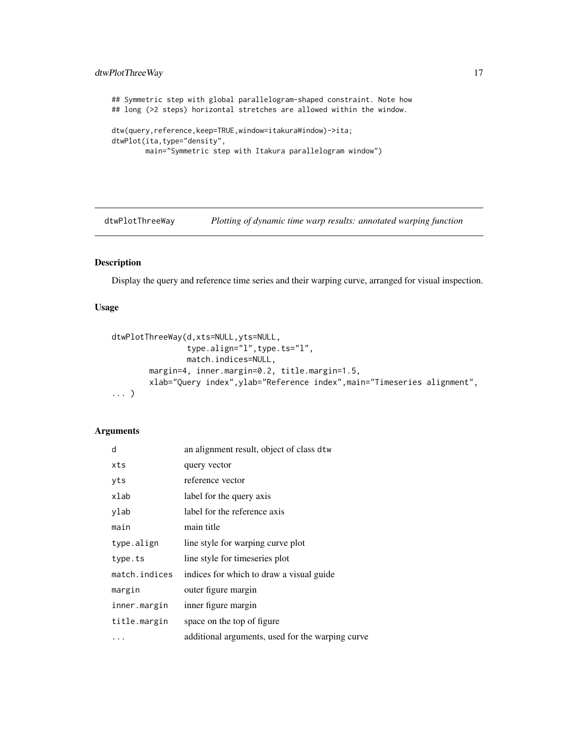# <span id="page-16-0"></span>dtwPlotThreeWay 17

## Symmetric step with global parallelogram-shaped constraint. Note how ## long (>2 steps) horizontal stretches are allowed within the window. dtw(query,reference,keep=TRUE,window=itakuraWindow)->ita; dtwPlot(ita,type="density", main="Symmetric step with Itakura parallelogram window")

<span id="page-16-1"></span>dtwPlotThreeWay *Plotting of dynamic time warp results: annotated warping function*

# Description

Display the query and reference time series and their warping curve, arranged for visual inspection.

# Usage

```
dtwPlotThreeWay(d,xts=NULL,yts=NULL,
                type.align="l",type.ts="l",
                match.indices=NULL,
       margin=4, inner.margin=0.2, title.margin=1.5,
       xlab="Query index",ylab="Reference index",main="Timeseries alignment",
... )
```
# Arguments

| d             | an alignment result, object of class dtw         |
|---------------|--------------------------------------------------|
| xts           | query vector                                     |
| yts           | reference vector                                 |
| xlab          | label for the query axis                         |
| ylab          | label for the reference axis                     |
| main          | main title                                       |
| type.align    | line style for warping curve plot                |
| type.ts       | line style for timeseries plot                   |
| match.indices | indices for which to draw a visual guide.        |
| margin        | outer figure margin                              |
| inner.margin  | inner figure margin                              |
| title.margin  | space on the top of figure                       |
|               | additional arguments, used for the warping curve |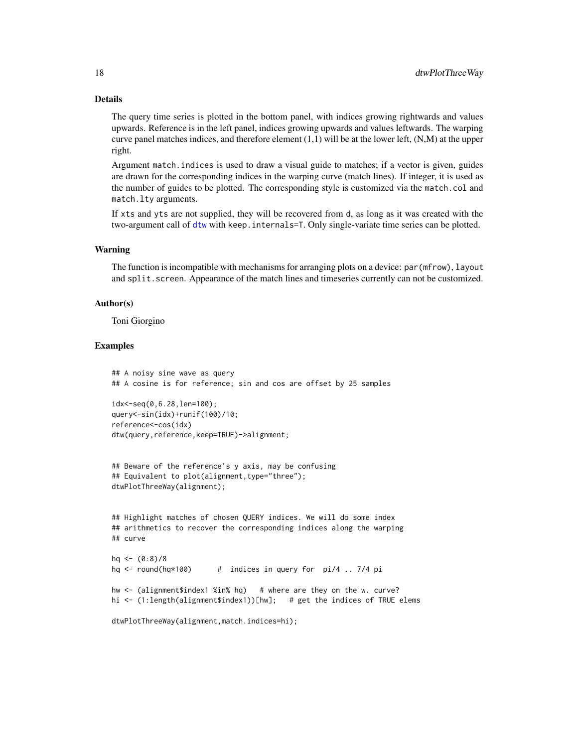#### <span id="page-17-0"></span>Details

The query time series is plotted in the bottom panel, with indices growing rightwards and values upwards. Reference is in the left panel, indices growing upwards and values leftwards. The warping curve panel matches indices, and therefore element  $(1,1)$  will be at the lower left,  $(N,M)$  at the upper right.

Argument match.indices is used to draw a visual guide to matches; if a vector is given, guides are drawn for the corresponding indices in the warping curve (match lines). If integer, it is used as the number of guides to be plotted. The corresponding style is customized via the match.col and match.lty arguments.

If xts and yts are not supplied, they will be recovered from d, as long as it was created with the two-argument call of [dtw](#page-6-1) with keep. internals=T. Only single-variate time series can be plotted.

### Warning

The function is incompatible with mechanisms for arranging plots on a device: par (mfrow), layout and split. screen. Appearance of the match lines and timeseries currently can not be customized.

#### Author(s)

Toni Giorgino

#### Examples

```
## A noisy sine wave as query
## A cosine is for reference; sin and cos are offset by 25 samples
```

```
idx<-seq(0,6.28,len=100);
query<-sin(idx)+runif(100)/10;
reference<-cos(idx)
dtw(query,reference,keep=TRUE)->alignment;
```

```
## Beware of the reference's y axis, may be confusing
## Equivalent to plot(alignment, type="three");
dtwPlotThreeWay(alignment);
```

```
## Highlight matches of chosen QUERY indices. We will do some index
## arithmetics to recover the corresponding indices along the warping
## curve
```

```
hq <- (0:8)/8hq \le round(hq*100) # indices in query for pi/4 .. 7/4 pi
hw \leq (alignment$index1 %in% hq) # where are they on the w. curve?
hi <- (1:length(alignment$index1))[hw]; # get the indices of TRUE elems
```
dtwPlotThreeWay(alignment,match.indices=hi);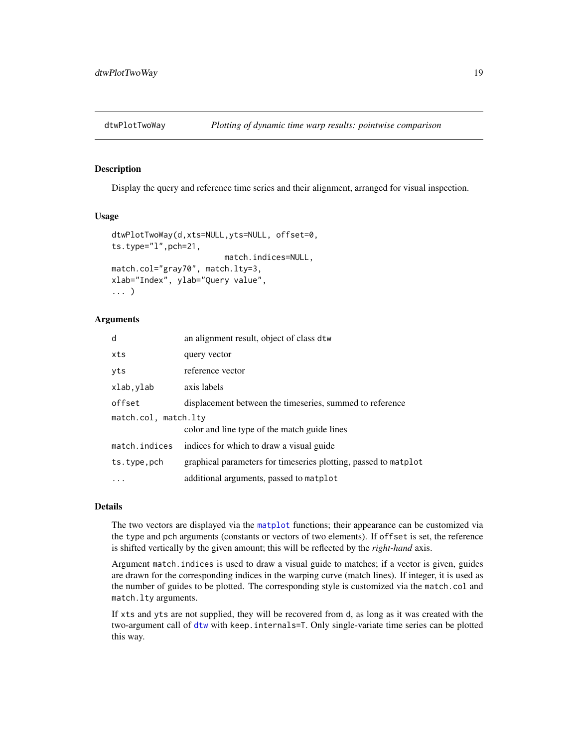<span id="page-18-1"></span><span id="page-18-0"></span>

#### Description

Display the query and reference time series and their alignment, arranged for visual inspection.

#### Usage

```
dtwPlotTwoWay(d,xts=NULL,yts=NULL, offset=0,
ts.type="l",pch=21,
                        match.indices=NULL,
match.col="gray70", match.lty=3,
xlab="Index", ylab="Query value",
... )
```
## Arguments

| d                    | an alignment result, object of class dtw                        |  |  |  |  |  |  |
|----------------------|-----------------------------------------------------------------|--|--|--|--|--|--|
| xts                  | query vector                                                    |  |  |  |  |  |  |
| yts                  | reference vector                                                |  |  |  |  |  |  |
| xlab,ylab            | axis labels                                                     |  |  |  |  |  |  |
| offset               | displacement between the timeseries, summed to reference        |  |  |  |  |  |  |
| match.col, match.lty |                                                                 |  |  |  |  |  |  |
|                      | color and line type of the match guide lines                    |  |  |  |  |  |  |
| match.indices        | indices for which to draw a visual guide                        |  |  |  |  |  |  |
| ts.type,pch          | graphical parameters for timeseries plotting, passed to matplot |  |  |  |  |  |  |
| $\cdots$             | additional arguments, passed to matplot                         |  |  |  |  |  |  |

# Details

The two vectors are displayed via the [matplot](#page-0-0) functions; their appearance can be customized via the type and pch arguments (constants or vectors of two elements). If offset is set, the reference is shifted vertically by the given amount; this will be reflected by the *right-hand* axis.

Argument match.indices is used to draw a visual guide to matches; if a vector is given, guides are drawn for the corresponding indices in the warping curve (match lines). If integer, it is used as the number of guides to be plotted. The corresponding style is customized via the match.col and match.lty arguments.

If xts and yts are not supplied, they will be recovered from d, as long as it was created with the two-argument call of [dtw](#page-6-1) with keep.internals=T. Only single-variate time series can be plotted this way.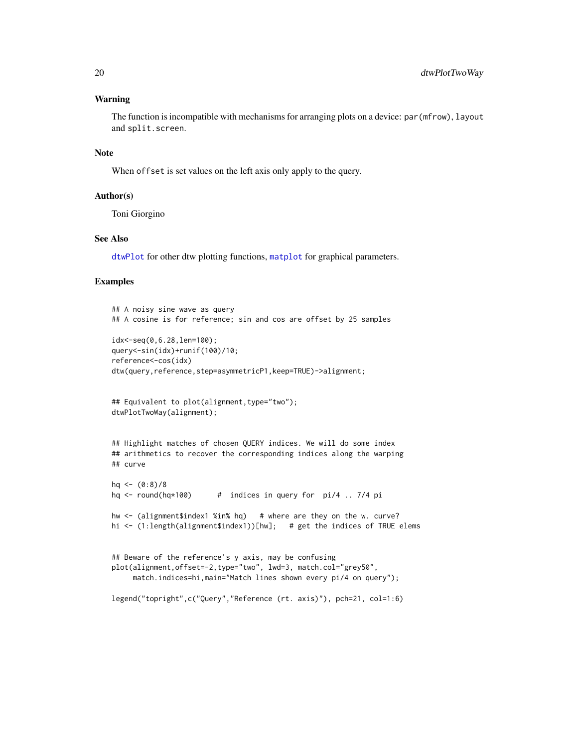#### <span id="page-19-0"></span>Warning

The function is incompatible with mechanisms for arranging plots on a device: par (mfrow), layout and split.screen.

#### Note

When offset is set values on the left axis only apply to the query.

#### Author(s)

Toni Giorgino

#### See Also

[dtwPlot](#page-13-2) for other dtw plotting functions, [matplot](#page-0-0) for graphical parameters.

#### Examples

```
## A noisy sine wave as query
## A cosine is for reference; sin and cos are offset by 25 samples
idx<-seq(0,6.28,len=100);
query<-sin(idx)+runif(100)/10;
reference<-cos(idx)
dtw(query,reference,step=asymmetricP1,keep=TRUE)->alignment;
## Equivalent to plot(alignment, type="two");
dtwPlotTwoWay(alignment);
## Highlight matches of chosen QUERY indices. We will do some index
## arithmetics to recover the corresponding indices along the warping
## curve
hq <- (0:8)/8hq \le round(hq*100) # indices in query for pi/4 .. 7/4 pi
hw <- (alignment$index1 %in% hq) # where are they on the w. curve?
hi <- (1:length(alignment$index1))[hw]; # get the indices of TRUE elems
## Beware of the reference's y axis, may be confusing
plot(alignment,offset=-2,type="two", lwd=3, match.col="grey50",
     match.indices=hi,main="Match lines shown every pi/4 on query");
legend("topright",c("Query","Reference (rt. axis)"), pch=21, col=1:6)
```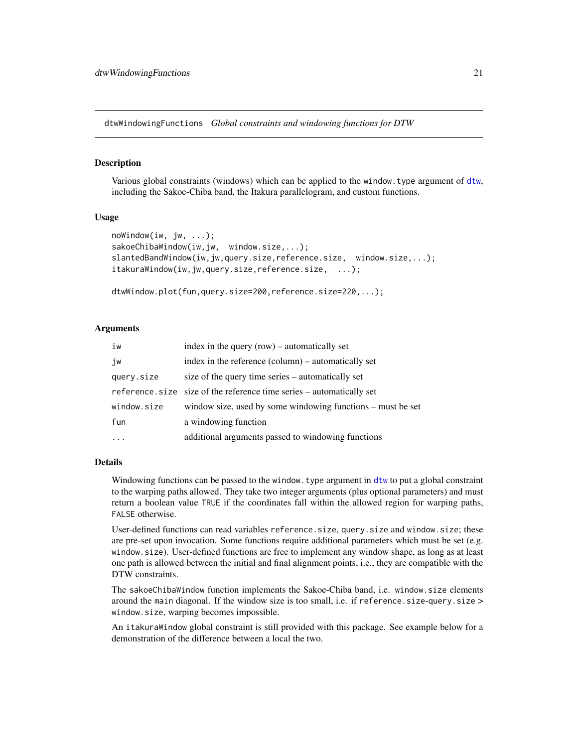<span id="page-20-1"></span><span id="page-20-0"></span>dtwWindowingFunctions *Global constraints and windowing functions for DTW*

#### <span id="page-20-2"></span>Description

Various global constraints (windows) which can be applied to the window.type argument of [dtw](#page-6-1), including the Sakoe-Chiba band, the Itakura parallelogram, and custom functions.

#### Usage

```
noWindow(iw, jw, ...);
sakoeChibaWindow(iw,jw, window.size,...);
slantedBandWindow(iw,jw,query.size,reference.size, window.size,...);
itakuraWindow(iw,jw,query.size,reference.size, ...);
```
dtwWindow.plot(fun,query.size=200,reference.size=220,...);

#### Arguments

| iw          | index in the query $(row)$ – automatically set                       |
|-------------|----------------------------------------------------------------------|
| jw          | index in the reference (column) – automatically set                  |
| query.size  | size of the query time series – automatically set                    |
|             | reference size size of the reference time series – automatically set |
| window.size | window size, used by some windowing functions – must be set          |
| fun         | a windowing function                                                 |
|             | additional arguments passed to windowing functions                   |

#### Details

Windowing functions can be passed to the window. type argument in [dtw](#page-6-1) to put a global constraint to the warping paths allowed. They take two integer arguments (plus optional parameters) and must return a boolean value TRUE if the coordinates fall within the allowed region for warping paths, FALSE otherwise.

User-defined functions can read variables reference.size, query.size and window.size; these are pre-set upon invocation. Some functions require additional parameters which must be set (e.g. window.size). User-defined functions are free to implement any window shape, as long as at least one path is allowed between the initial and final alignment points, i.e., they are compatible with the DTW constraints.

The sakoeChibaWindow function implements the Sakoe-Chiba band, i.e. window.size elements around the main diagonal. If the window size is too small, i.e. if reference.size-query.size > window.size, warping becomes impossible.

An itakuraWindow global constraint is still provided with this package. See example below for a demonstration of the difference between a local the two.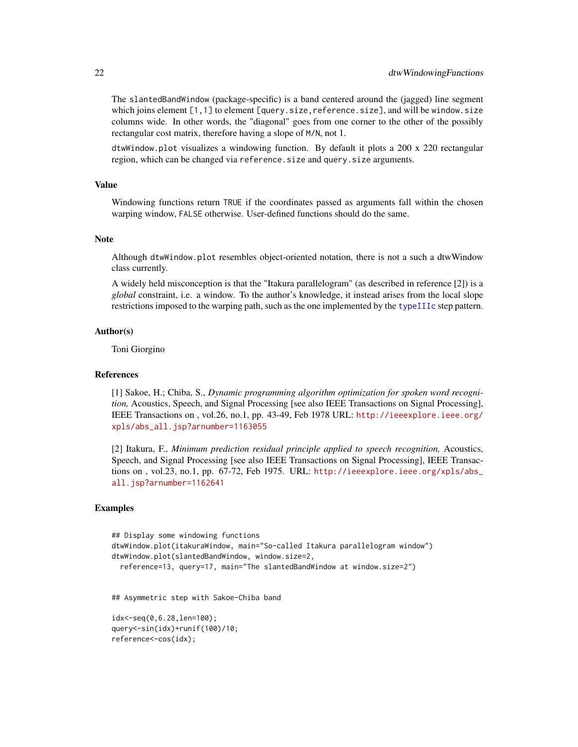<span id="page-21-0"></span>The slantedBandWindow (package-specific) is a band centered around the (jagged) line segment which joins element [1,1] to element [query.size,reference.size], and will be window.size columns wide. In other words, the "diagonal" goes from one corner to the other of the possibly rectangular cost matrix, therefore having a slope of M/N, not 1.

dtwWindow.plot visualizes a windowing function. By default it plots a 200 x 220 rectangular region, which can be changed via reference.size and query.size arguments.

#### Value

Windowing functions return TRUE if the coordinates passed as arguments fall within the chosen warping window, FALSE otherwise. User-defined functions should do the same.

#### Note

Although dtwWindow.plot resembles object-oriented notation, there is not a such a dtwWindow class currently.

A widely held misconception is that the "Itakura parallelogram" (as described in reference [2]) is a *global* constraint, i.e. a window. To the author's knowledge, it instead arises from the local slope restrictions imposed to the warping path, such as the one implemented by the [typeIIIc](#page-23-2) step pattern.

#### Author(s)

Toni Giorgino

#### References

[1] Sakoe, H.; Chiba, S., *Dynamic programming algorithm optimization for spoken word recognition,* Acoustics, Speech, and Signal Processing [see also IEEE Transactions on Signal Processing], IEEE Transactions on , vol.26, no.1, pp. 43-49, Feb 1978 URL: [http://ieeexplore.ieee.org/](http://ieeexplore.ieee.org/xpls/abs_all.jsp?arnumber=1163055) [xpls/abs\\_all.jsp?arnumber=1163055](http://ieeexplore.ieee.org/xpls/abs_all.jsp?arnumber=1163055)

[2] Itakura, F., *Minimum prediction residual principle applied to speech recognition,* Acoustics, Speech, and Signal Processing [see also IEEE Transactions on Signal Processing], IEEE Transactions on , vol.23, no.1, pp. 67-72, Feb 1975. URL: [http://ieeexplore.ieee.org/xpls/abs\\_](http://ieeexplore.ieee.org/xpls/abs_all.jsp?arnumber=1162641) [all.jsp?arnumber=1162641](http://ieeexplore.ieee.org/xpls/abs_all.jsp?arnumber=1162641)

#### Examples

```
## Display some windowing functions
dtwWindow.plot(itakuraWindow, main="So-called Itakura parallelogram window")
dtwWindow.plot(slantedBandWindow, window.size=2,
 reference=13, query=17, main="The slantedBandWindow at window.size=2")
## Asymmetric step with Sakoe-Chiba band
idx<-seq(0,6.28,len=100);
```
query<-sin(idx)+runif(100)/10; reference<-cos(idx);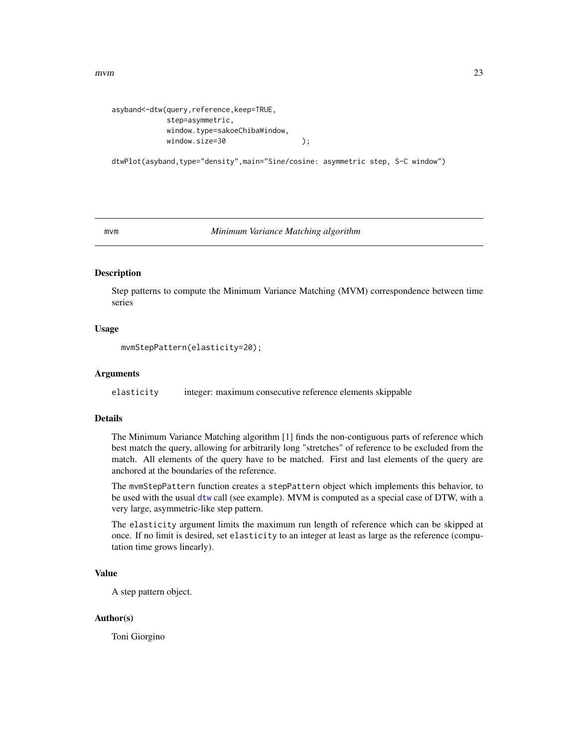```
asyband<-dtw(query,reference,keep=TRUE,
           step=asymmetric,
           window.type=sakoeChibaWindow,
           window.size=30 );
```
dtwPlot(asyband,type="density",main="Sine/cosine: asymmetric step, S-C window")

mvm *Minimum Variance Matching algorithm*

## <span id="page-22-1"></span>Description

Step patterns to compute the Minimum Variance Matching (MVM) correspondence between time series

### Usage

mvmStepPattern(elasticity=20);

#### Arguments

elasticity integer: maximum consecutive reference elements skippable

#### Details

The Minimum Variance Matching algorithm [1] finds the non-contiguous parts of reference which best match the query, allowing for arbitrarily long "stretches" of reference to be excluded from the match. All elements of the query have to be matched. First and last elements of the query are anchored at the boundaries of the reference.

The mvmStepPattern function creates a stepPattern object which implements this behavior, to be used with the usual [dtw](#page-6-1) call (see example). MVM is computed as a special case of DTW, with a very large, asymmetric-like step pattern.

The elasticity argument limits the maximum run length of reference which can be skipped at once. If no limit is desired, set elasticity to an integer at least as large as the reference (computation time grows linearly).

#### Value

A step pattern object.

#### Author(s)

Toni Giorgino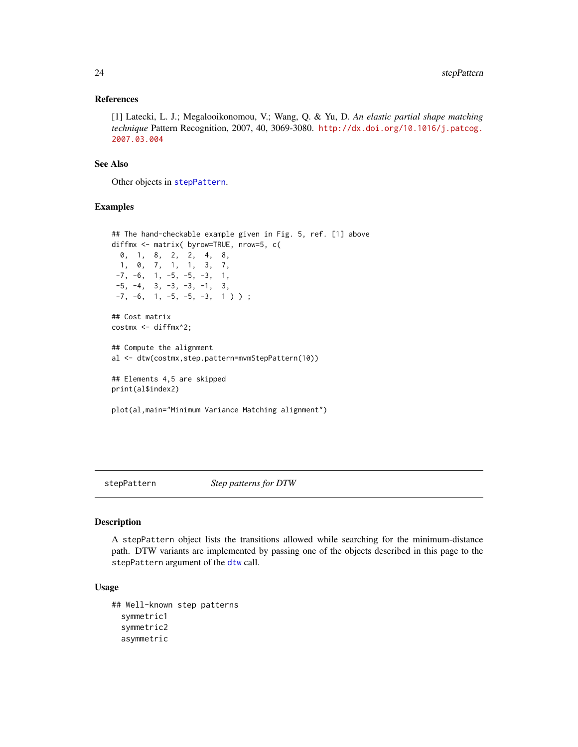#### <span id="page-23-0"></span>References

[1] Latecki, L. J.; Megalooikonomou, V.; Wang, Q. & Yu, D. *An elastic partial shape matching technique* Pattern Recognition, 2007, 40, 3069-3080. [http://dx.doi.org/10.1016/j.patcog.](http://dx.doi.org/10.1016/j.patcog.2007.03.004) [2007.03.004](http://dx.doi.org/10.1016/j.patcog.2007.03.004)

#### See Also

Other objects in [stepPattern](#page-23-1).

# Examples

```
## The hand-checkable example given in Fig. 5, ref. [1] above
diffmx <- matrix( byrow=TRUE, nrow=5, c(
 0, 1, 8, 2, 2, 4, 8,
 1, 0, 7, 1, 1, 3, 7,
-7, -6, 1, -5, -5, -3, 1,-5, -4, 3, -3, -3, -1, 3,
-7, -6, 1, -5, -5, -3, 1);
## Cost matrix
costmx <- diffmx^2;
## Compute the alignment
al <- dtw(costmx,step.pattern=mvmStepPattern(10))
## Elements 4,5 are skipped
print(al$index2)
plot(al,main="Minimum Variance Matching alignment")
```
<span id="page-23-1"></span>stepPattern *Step patterns for DTW*

#### <span id="page-23-2"></span>Description

A stepPattern object lists the transitions allowed while searching for the minimum-distance path. DTW variants are implemented by passing one of the objects described in this page to the stepPattern argument of the [dtw](#page-6-1) call.

#### Usage

```
## Well-known step patterns
  symmetric1
  symmetric2
  asymmetric
```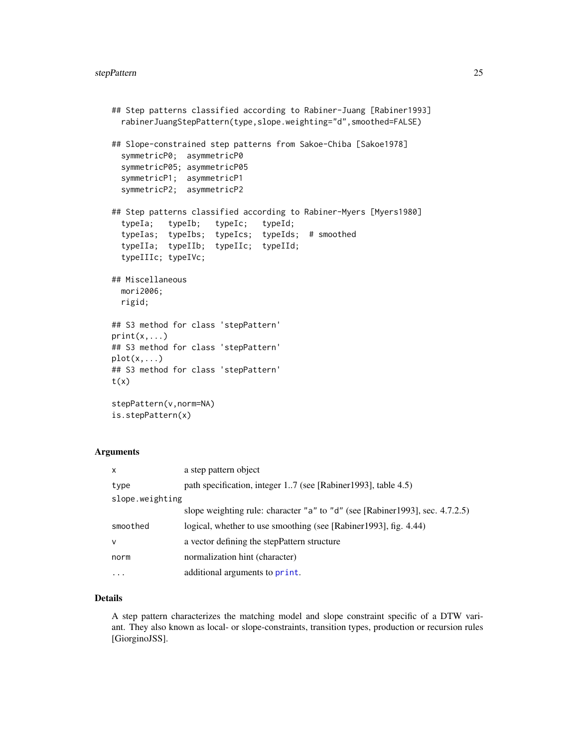```
## Step patterns classified according to Rabiner-Juang [Rabiner1993]
  rabinerJuangStepPattern(type,slope.weighting="d",smoothed=FALSE)
## Slope-constrained step patterns from Sakoe-Chiba [Sakoe1978]
  symmetricP0; asymmetricP0
  symmetricP05; asymmetricP05
  symmetricP1; asymmetricP1
  symmetricP2; asymmetricP2
## Step patterns classified according to Rabiner-Myers [Myers1980]
  typeIa; typeIb; typeIc; typeId;
  typeIas; typeIbs; typeIcs; typeIds; # smoothed
  typeIIa; typeIIb; typeIIc; typeIId;
  typeIIIc; typeIVc;
## Miscellaneous
 mori2006;
 rigid;
## S3 method for class 'stepPattern'
print(x, \ldots)## S3 method for class 'stepPattern'
plot(x, \ldots)## S3 method for class 'stepPattern'
t(x)stepPattern(v,norm=NA)
is.stepPattern(x)
```
# Arguments

| x               | a step pattern object                                                        |  |  |
|-----------------|------------------------------------------------------------------------------|--|--|
| type            | path specification, integer 17 (see [Rabiner1993], table 4.5)                |  |  |
| slope.weighting |                                                                              |  |  |
|                 | slope weighting rule: character "a" to "d" (see [Rabiner1993], sec. 4.7.2.5) |  |  |
| smoothed        | logical, whether to use smoothing (see [Rabiner1993], fig. 4.44)             |  |  |
| v               | a vector defining the stepPattern structure                                  |  |  |
| norm            | normalization hint (character)                                               |  |  |
| $\cdots$        | additional arguments to print.                                               |  |  |

# Details

A step pattern characterizes the matching model and slope constraint specific of a DTW variant. They also known as local- or slope-constraints, transition types, production or recursion rules [GiorginoJSS].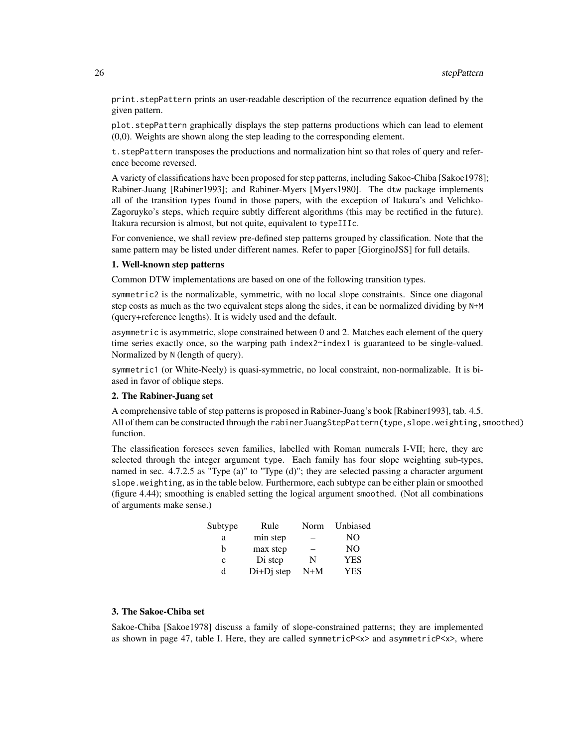print.stepPattern prints an user-readable description of the recurrence equation defined by the given pattern.

plot.stepPattern graphically displays the step patterns productions which can lead to element (0,0). Weights are shown along the step leading to the corresponding element.

t.stepPattern transposes the productions and normalization hint so that roles of query and reference become reversed.

A variety of classifications have been proposed for step patterns, including Sakoe-Chiba [Sakoe1978]; Rabiner-Juang [Rabiner1993]; and Rabiner-Myers [Myers1980]. The dtw package implements all of the transition types found in those papers, with the exception of Itakura's and Velichko-Zagoruyko's steps, which require subtly different algorithms (this may be rectified in the future). Itakura recursion is almost, but not quite, equivalent to typeIIIc.

For convenience, we shall review pre-defined step patterns grouped by classification. Note that the same pattern may be listed under different names. Refer to paper [GiorginoJSS] for full details.

#### 1. Well-known step patterns

Common DTW implementations are based on one of the following transition types.

symmetric2 is the normalizable, symmetric, with no local slope constraints. Since one diagonal step costs as much as the two equivalent steps along the sides, it can be normalized dividing by N+M (query+reference lengths). It is widely used and the default.

asymmetric is asymmetric, slope constrained between 0 and 2. Matches each element of the query time series exactly once, so the warping path index2~index1 is guaranteed to be single-valued. Normalized by N (length of query).

symmetric1 (or White-Neely) is quasi-symmetric, no local constraint, non-normalizable. It is biased in favor of oblique steps.

#### 2. The Rabiner-Juang set

A comprehensive table of step patterns is proposed in Rabiner-Juang's book [Rabiner1993], tab. 4.5. All of them can be constructed through the rabinerJuangStepPattern(type,slope.weighting,smoothed) function.

The classification foresees seven families, labelled with Roman numerals I-VII; here, they are selected through the integer argument type. Each family has four slope weighting sub-types, named in sec. 4.7.2.5 as "Type (a)" to "Type (d)"; they are selected passing a character argument slope.weighting, as in the table below. Furthermore, each subtype can be either plain or smoothed (figure 4.44); smoothing is enabled setting the logical argument smoothed. (Not all combinations of arguments make sense.)

| Subtype | Rule       | Norm | Unbiased       |
|---------|------------|------|----------------|
| a       | min step   | -    | NO             |
| h       | max step   | -    | N <sub>O</sub> |
| c       | Di step    | N    | <b>YES</b>     |
| d       | Di+Dj step | N+M  | <b>YES</b>     |

#### 3. The Sakoe-Chiba set

Sakoe-Chiba [Sakoe1978] discuss a family of slope-constrained patterns; they are implemented as shown in page 47, table I. Here, they are called symmetricP<x> and asymmetricP<x>, where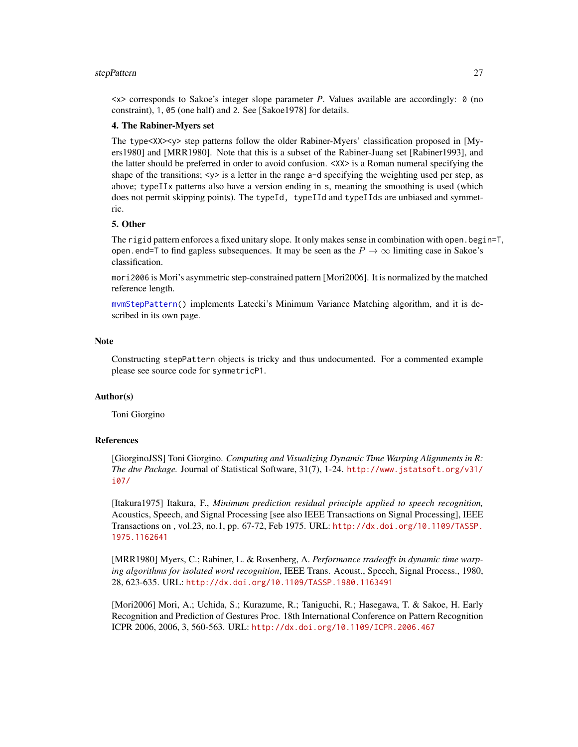#### <span id="page-26-0"></span>stepPattern 27

<x> corresponds to Sakoe's integer slope parameter *P*. Values available are accordingly: 0 (no constraint), 1, 05 (one half) and 2. See [Sakoe1978] for details.

#### 4. The Rabiner-Myers set

The type<XX><y> step patterns follow the older Rabiner-Myers' classification proposed in [Myers1980] and [MRR1980]. Note that this is a subset of the Rabiner-Juang set [Rabiner1993], and the latter should be preferred in order to avoid confusion. <XX> is a Roman numeral specifying the shape of the transitions;  $\langle y \rangle$  is a letter in the range a-d specifying the weighting used per step, as above; typeIIx patterns also have a version ending in s, meaning the smoothing is used (which does not permit skipping points). The typeId, typeIId and typeIIds are unbiased and symmetric.

#### 5. Other

The rigid pattern enforces a fixed unitary slope. It only makes sense in combination with open.begin=T, open.end=T to find gapless subsequences. It may be seen as the  $P \to \infty$  limiting case in Sakoe's classification.

mori2006 is Mori's asymmetric step-constrained pattern [Mori2006]. It is normalized by the matched reference length.

[mvmStepPattern\(](#page-22-1)) implements Latecki's Minimum Variance Matching algorithm, and it is described in its own page.

#### **Note**

Constructing stepPattern objects is tricky and thus undocumented. For a commented example please see source code for symmetricP1.

#### Author(s)

Toni Giorgino

#### References

[GiorginoJSS] Toni Giorgino. *Computing and Visualizing Dynamic Time Warping Alignments in R: The dtw Package.* Journal of Statistical Software, 31(7), 1-24. [http://www.jstatsoft.org/v31/](http://www.jstatsoft.org/v31/i07/) [i07/](http://www.jstatsoft.org/v31/i07/)

[Itakura1975] Itakura, F., *Minimum prediction residual principle applied to speech recognition,* Acoustics, Speech, and Signal Processing [see also IEEE Transactions on Signal Processing], IEEE Transactions on , vol.23, no.1, pp. 67-72, Feb 1975. URL: [http://dx.doi.org/10.1109/TASSP.](http://dx.doi.org/10.1109/TASSP.1975.1162641) [1975.1162641](http://dx.doi.org/10.1109/TASSP.1975.1162641)

[MRR1980] Myers, C.; Rabiner, L. & Rosenberg, A. *Performance tradeoffs in dynamic time warping algorithms for isolated word recognition*, IEEE Trans. Acoust., Speech, Signal Process., 1980, 28, 623-635. URL: <http://dx.doi.org/10.1109/TASSP.1980.1163491>

[Mori2006] Mori, A.; Uchida, S.; Kurazume, R.; Taniguchi, R.; Hasegawa, T. & Sakoe, H. Early Recognition and Prediction of Gestures Proc. 18th International Conference on Pattern Recognition ICPR 2006, 2006, 3, 560-563. URL: <http://dx.doi.org/10.1109/ICPR.2006.467>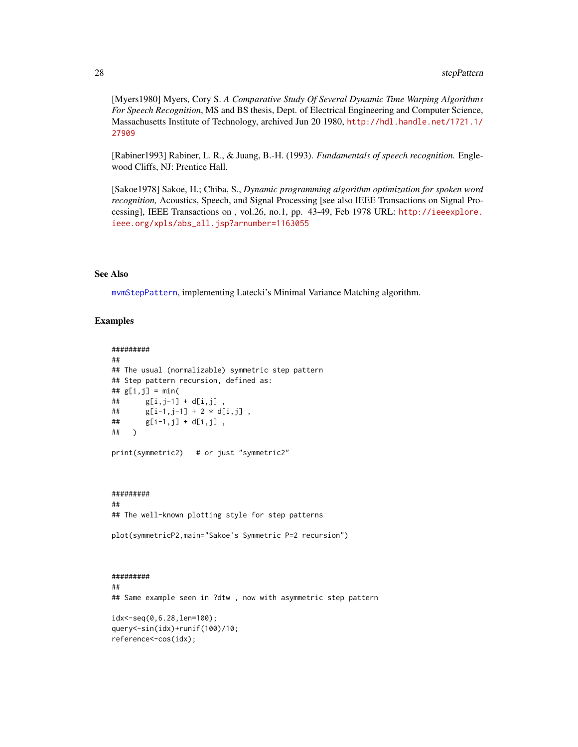<span id="page-27-0"></span>[Myers1980] Myers, Cory S. *A Comparative Study Of Several Dynamic Time Warping Algorithms For Speech Recognition*, MS and BS thesis, Dept. of Electrical Engineering and Computer Science, Massachusetts Institute of Technology, archived Jun 20 1980, [http://hdl.handle.net/1721.1/](http://hdl.handle.net/1721.1/27909) [27909](http://hdl.handle.net/1721.1/27909)

[Rabiner1993] Rabiner, L. R., & Juang, B.-H. (1993). *Fundamentals of speech recognition.* Englewood Cliffs, NJ: Prentice Hall.

[Sakoe1978] Sakoe, H.; Chiba, S., *Dynamic programming algorithm optimization for spoken word recognition,* Acoustics, Speech, and Signal Processing [see also IEEE Transactions on Signal Processing], IEEE Transactions on , vol.26, no.1, pp. 43-49, Feb 1978 URL: [http://ieeexplore.](http://ieeexplore.ieee.org/xpls/abs_all.jsp?arnumber=1163055) [ieee.org/xpls/abs\\_all.jsp?arnumber=1163055](http://ieeexplore.ieee.org/xpls/abs_all.jsp?arnumber=1163055)

# See Also

[mvmStepPattern](#page-22-1), implementing Latecki's Minimal Variance Matching algorithm.

#### Examples

```
#########
##
## The usual (normalizable) symmetric step pattern
## Step pattern recursion, defined as:
## g[i, j] = min(\# g[i,j-1] + d[i,j],
## g[i-1,j-1] + 2 * d[i,j],
## g[i-1,j] + d[i,j] ,
## )
print(symmetric2) # or just "symmetric2"
```
######### ## ## The well-known plotting style for step patterns

```
plot(symmetricP2,main="Sakoe's Symmetric P=2 recursion")
```

```
#########
##
## Same example seen in ?dtw, now with asymmetric step pattern
idx<-seq(0,6.28,len=100);
query<-sin(idx)+runif(100)/10;
reference<-cos(idx);
```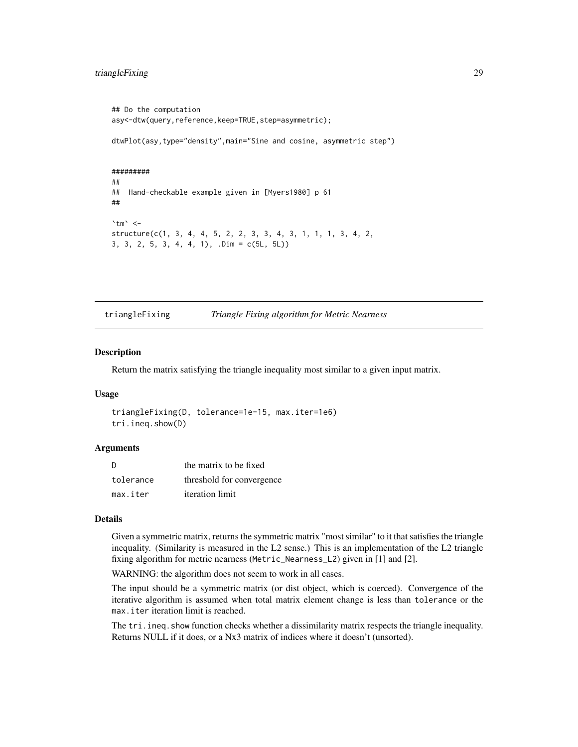# <span id="page-28-0"></span>triangleFixing 29

```
## Do the computation
asy<-dtw(query,reference,keep=TRUE,step=asymmetric);
dtwPlot(asy,type="density",main="Sine and cosine, asymmetric step")
#########
##
## Hand-checkable example given in [Myers1980] p 61
##
`tm` <-
structure(c(1, 3, 4, 4, 5, 2, 2, 3, 3, 4, 3, 1, 1, 1, 3, 4, 2,
3, 3, 2, 5, 3, 4, 4, 1), .Dim = c(5L, 5L))
```
triangleFixing *Triangle Fixing algorithm for Metric Nearness*

#### Description

Return the matrix satisfying the triangle inequality most similar to a given input matrix.

#### Usage

```
triangleFixing(D, tolerance=1e-15, max.iter=1e6)
tri.ineq.show(D)
```
#### Arguments

| <sup>D</sup> | the matrix to be fixed    |
|--------------|---------------------------|
| tolerance    | threshold for convergence |
| max.iter     | <i>iteration</i> limit    |

# Details

Given a symmetric matrix, returns the symmetric matrix "most similar" to it that satisfies the triangle inequality. (Similarity is measured in the L2 sense.) This is an implementation of the L2 triangle fixing algorithm for metric nearness (Metric\_Nearness\_L2) given in [1] and [2].

WARNING: the algorithm does not seem to work in all cases.

The input should be a symmetric matrix (or dist object, which is coerced). Convergence of the iterative algorithm is assumed when total matrix element change is less than tolerance or the max.iter iteration limit is reached.

The tri.ineq.show function checks whether a dissimilarity matrix respects the triangle inequality. Returns NULL if it does, or a Nx3 matrix of indices where it doesn't (unsorted).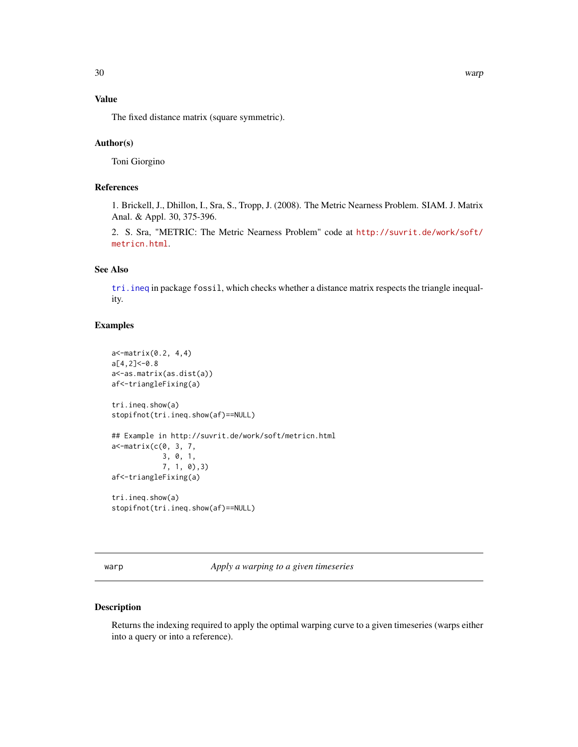# <span id="page-29-0"></span>Value

The fixed distance matrix (square symmetric).

# Author(s)

Toni Giorgino

# References

1. Brickell, J., Dhillon, I., Sra, S., Tropp, J. (2008). The Metric Nearness Problem. SIAM. J. Matrix Anal. & Appl. 30, 375-396.

2. S. Sra, "METRIC: The Metric Nearness Problem" code at [http://suvrit.de/work/soft/](http://suvrit.de/work/soft/metricn.html) [metricn.html](http://suvrit.de/work/soft/metricn.html).

# See Also

[tri.ineq](#page-0-0) in package fossil, which checks whether a distance matrix respects the triangle inequality.

#### Examples

```
a<-matrix(0.2, 4,4)
a[4,2]<-0.8
a<-as.matrix(as.dist(a))
af<-triangleFixing(a)
tri.ineq.show(a)
stopifnot(tri.ineq.show(af)==NULL)
## Example in http://suvrit.de/work/soft/metricn.html
a<-matrix(c(0, 3, 7,
            3, 0, 1,
            7, 1, 0),3)
af<-triangleFixing(a)
tri.ineq.show(a)
stopifnot(tri.ineq.show(af)==NULL)
```
warp *Apply a warping to a given timeseries*

# Description

Returns the indexing required to apply the optimal warping curve to a given timeseries (warps either into a query or into a reference).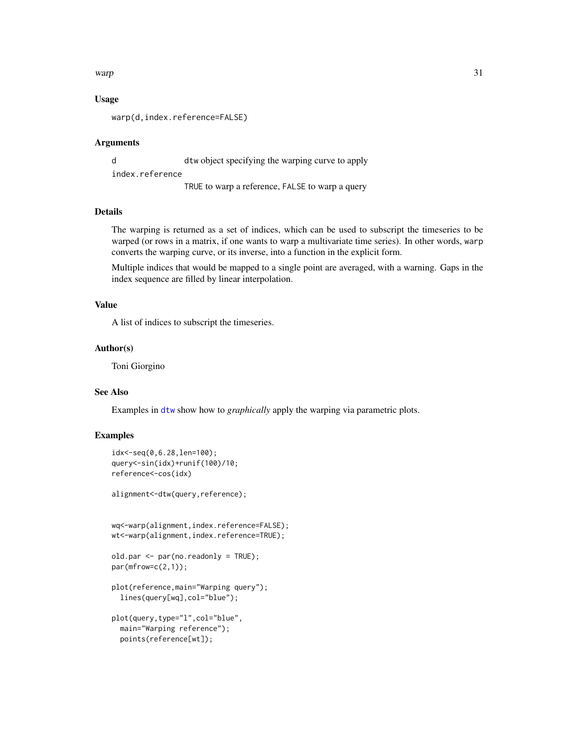#### <span id="page-30-0"></span> $warp$  31

# Usage

```
warp(d,index.reference=FALSE)
```
#### Arguments

d dtw object specifying the warping curve to apply index.reference TRUE to warp a reference, FALSE to warp a query

# Details

The warping is returned as a set of indices, which can be used to subscript the timeseries to be warped (or rows in a matrix, if one wants to warp a multivariate time series). In other words, warp converts the warping curve, or its inverse, into a function in the explicit form.

Multiple indices that would be mapped to a single point are averaged, with a warning. Gaps in the index sequence are filled by linear interpolation.

# Value

A list of indices to subscript the timeseries.

#### Author(s)

Toni Giorgino

#### See Also

Examples in [dtw](#page-6-1) show how to *graphically* apply the warping via parametric plots.

#### Examples

```
idx<-seq(0,6.28,len=100);
query<-sin(idx)+runif(100)/10;
reference<-cos(idx)
```
alignment<-dtw(query,reference);

wq<-warp(alignment,index.reference=FALSE); wt<-warp(alignment,index.reference=TRUE);

```
old.par <- par(no.readonly = TRUE);
par(mfrow=c(2,1));
```

```
plot(reference,main="Warping query");
 lines(query[wq],col="blue");
```

```
plot(query,type="l",col="blue",
 main="Warping reference");
 points(reference[wt]);
```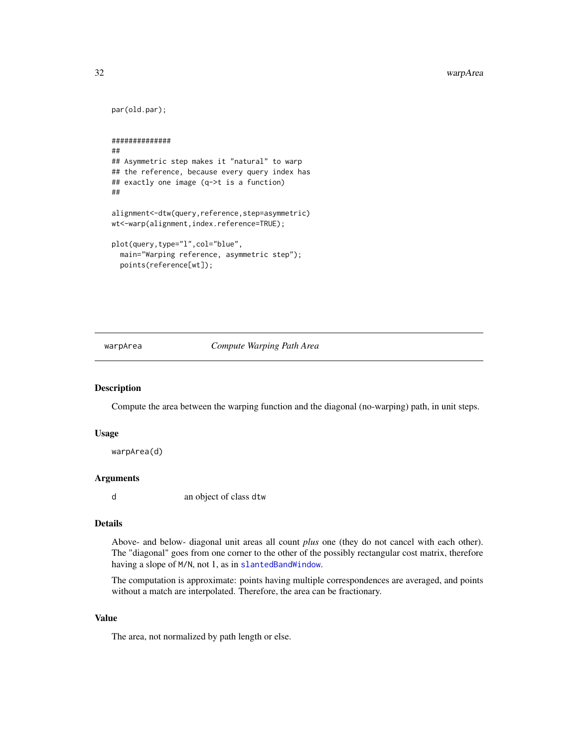```
par(old.par);
##############
##
## Asymmetric step makes it "natural" to warp
## the reference, because every query index has
## exactly one image (q->t is a function)
##
alignment<-dtw(query,reference,step=asymmetric)
wt<-warp(alignment,index.reference=TRUE);
plot(query,type="l",col="blue",
 main="Warping reference, asymmetric step");
 points(reference[wt]);
```
warpArea *Compute Warping Path Area*

### Description

Compute the area between the warping function and the diagonal (no-warping) path, in unit steps.

#### Usage

warpArea(d)

#### Arguments

d an object of class dtw

#### Details

Above- and below- diagonal unit areas all count *plus* one (they do not cancel with each other). The "diagonal" goes from one corner to the other of the possibly rectangular cost matrix, therefore having a slope of M/N, not 1, as in [slantedBandWindow](#page-20-2).

The computation is approximate: points having multiple correspondences are averaged, and points without a match are interpolated. Therefore, the area can be fractionary.

# Value

The area, not normalized by path length or else.

<span id="page-31-0"></span>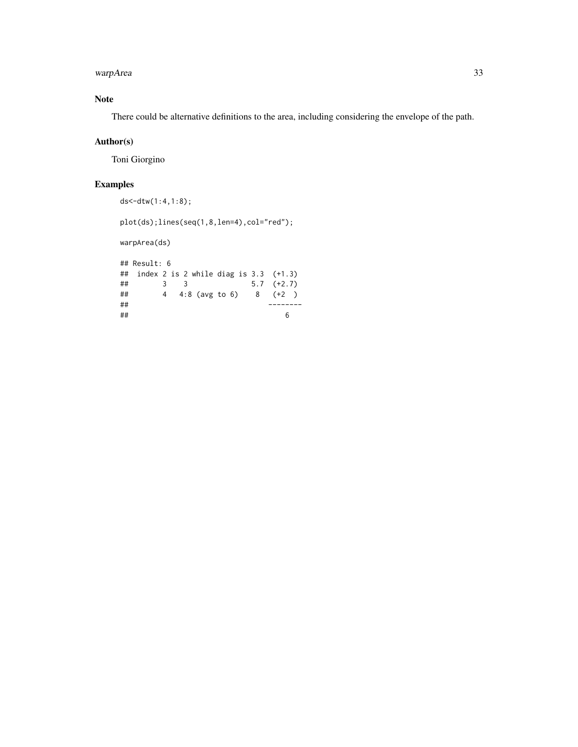warpArea 33

# Note

There could be alternative definitions to the area, including considering the envelope of the path.

# Author(s)

Toni Giorgino

# Examples

```
ds<-dtw(1:4,1:8);
plot(ds);lines(seq(1,8,len=4),col="red");
warpArea(ds)
## Result: 6
## index 2 is 2 while diag is 3.3 (+1.3)
## 3 3 5.7 (+2.7)
## 4 4:8 (avg to 6) 8 (+2 )
## --------
\## 6
```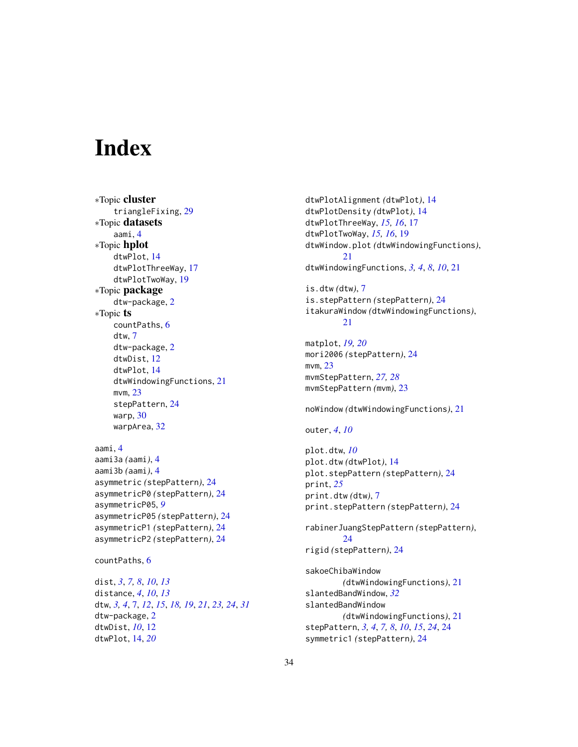# <span id="page-33-0"></span>**Index**

∗Topic cluster triangleFixing, [29](#page-28-0) ∗Topic datasets aami, [4](#page-3-0) ∗Topic hplot dtwPlot, [14](#page-13-0) dtwPlotThreeWay, [17](#page-16-0) dtwPlotTwoWay, [19](#page-18-0) ∗Topic package dtw-package, [2](#page-1-0) ∗Topic ts countPaths, [6](#page-5-0) dtw, [7](#page-6-0) dtw-package, [2](#page-1-0) dtwDist, [12](#page-11-0) dtwPlot, [14](#page-13-0) dtwWindowingFunctions, [21](#page-20-0) mvm, [23](#page-22-0) stepPattern, [24](#page-23-0) warp, [30](#page-29-0) warpArea, [32](#page-31-0) aami, [4](#page-3-0) aami3a *(*aami*)*, [4](#page-3-0) aami3b *(*aami*)*, [4](#page-3-0)

```
asymmetric (stepPattern), 24
asymmetricP0 (stepPattern), 24
asymmetricP05, 9
asymmetricP05 (stepPattern), 24
asymmetricP1 (stepPattern), 24
asymmetricP2 (stepPattern), 24
```

```
countPaths, 6
```
dist, *[3](#page-2-0)*, *[7,](#page-6-0) [8](#page-7-0)*, *[10](#page-9-0)*, *[13](#page-12-0)* distance, *[4](#page-3-0)*, *[10](#page-9-0)*, *[13](#page-12-0)* dtw, *[3,](#page-2-0) [4](#page-3-0)*, [7,](#page-6-0) *[12](#page-11-0)*, *[15](#page-14-0)*, *[18,](#page-17-0) [19](#page-18-0)*, *[21](#page-20-0)*, *[23,](#page-22-0) [24](#page-23-0)*, *[31](#page-30-0)* dtw-package, [2](#page-1-0) dtwDist, *[10](#page-9-0)*, [12](#page-11-0) dtwPlot, [14,](#page-13-0) *[20](#page-19-0)*

dtwPlotAlignment *(*dtwPlot*)*, [14](#page-13-0) dtwPlotDensity *(*dtwPlot*)*, [14](#page-13-0) dtwPlotThreeWay, *[15,](#page-14-0) [16](#page-15-0)*, [17](#page-16-0) dtwPlotTwoWay, *[15,](#page-14-0) [16](#page-15-0)*, [19](#page-18-0) dtwWindow.plot *(*dtwWindowingFunctions*)*, [21](#page-20-0) dtwWindowingFunctions, *[3,](#page-2-0) [4](#page-3-0)*, *[8](#page-7-0)*, *[10](#page-9-0)*, [21](#page-20-0)

is.dtw *(*dtw*)*, [7](#page-6-0) is.stepPattern *(*stepPattern*)*, [24](#page-23-0) itakuraWindow *(*dtwWindowingFunctions*)*, [21](#page-20-0)

```
matplot, 19, 20
mori2006 (stepPattern), 24
mvm, 23
mvmStepPattern, 27, 28
mvmStepPattern (mvm), 23
```
#### noWindow *(*dtwWindowingFunctions*)*, [21](#page-20-0)

```
outer, 4, 10
```

```
plot.dtw, 10
plot.dtw (dtwPlot), 14
plot.stepPattern (stepPattern), 24
print, 25
print.dtw (dtw), 7
print.stepPattern (stepPattern), 24
```
rabinerJuangStepPattern *(*stepPattern*)*, [24](#page-23-0) rigid *(*stepPattern*)*, [24](#page-23-0)

sakoeChibaWindow *(*dtwWindowingFunctions*)*, [21](#page-20-0) slantedBandWindow, *[32](#page-31-0)* slantedBandWindow *(*dtwWindowingFunctions*)*, [21](#page-20-0) stepPattern, *[3,](#page-2-0) [4](#page-3-0)*, *[7,](#page-6-0) [8](#page-7-0)*, *[10](#page-9-0)*, *[15](#page-14-0)*, *[24](#page-23-0)*, [24](#page-23-0) symmetric1 *(*stepPattern*)*, [24](#page-23-0)